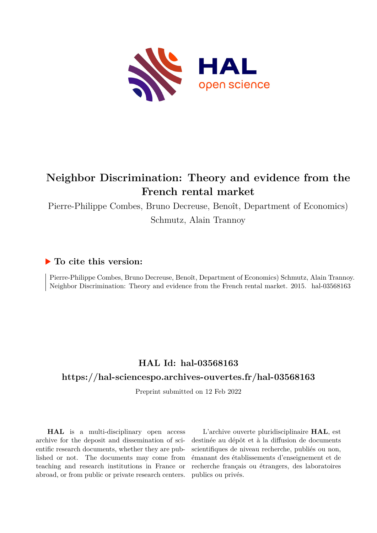

# **Neighbor Discrimination: Theory and evidence from the French rental market**

Pierre-Philippe Combes, Bruno Decreuse, Benoît, Department of Economics) Schmutz, Alain Trannoy

### **To cite this version:**

Pierre-Philippe Combes, Bruno Decreuse, Benoît, Department of Economics) Schmutz, Alain Trannoy. Neighbor Discrimination: Theory and evidence from the French rental market. 2015. hal-03568163

# **HAL Id: hal-03568163**

### **<https://hal-sciencespo.archives-ouvertes.fr/hal-03568163>**

Preprint submitted on 12 Feb 2022

**HAL** is a multi-disciplinary open access archive for the deposit and dissemination of scientific research documents, whether they are published or not. The documents may come from teaching and research institutions in France or abroad, or from public or private research centers.

L'archive ouverte pluridisciplinaire **HAL**, est destinée au dépôt et à la diffusion de documents scientifiques de niveau recherche, publiés ou non, émanant des établissements d'enseignement et de recherche français ou étrangers, des laboratoires publics ou privés.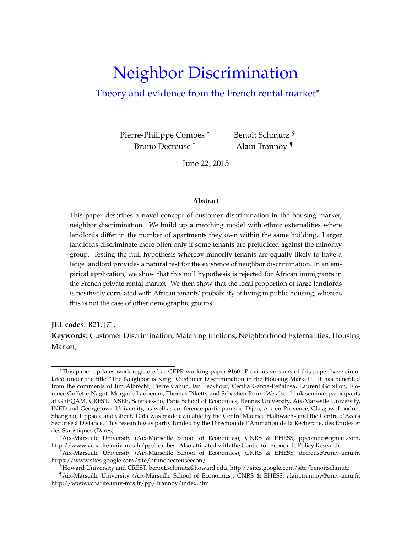# Neighbor Discrimination

### Theory and evidence from the French rental market<sup>\*</sup>

Pierre-Philippe Combes † Bruno Decreuse ‡

Benoît Schmutz<sup>§</sup> Alain Trannoy ¶

June 22, 2015

#### **Abstract**

This paper describes a novel concept of customer discrimination in the housing market, neighbor discrimination. We build up a matching model with ethnic externalities where landlords differ in the number of apartments they own within the same building. Larger landlords discriminate more often only if some tenants are prejudiced against the minority group. Testing the null hypothesis whereby minority tenants are equally likely to have a large landlord provides a natural test for the existence of neighbor discrimination. In an empirical application, we show that this null hypothesis is rejected for African immigrants in the French private rental market. We then show that the local proportion of large landlords is positively correlated with African tenants' probability of living in public housing, whereas this is not the case of other demographic groups.

**JEL codes**: R21, J71.

**Keywords**: Customer Discrimination, Matching frictions, Neighborhood Externalities, Housing Market;

<sup>∗</sup>This paper updates work registered as CEPR working paper 9160. Previous versions of this paper have circulated under the title "The Neighbor is King: Customer Discrimination in the Housing Market". It has benefited from the comments of Jim Albrecht, Pierre Cahuc, Jan Eeckhout, Cecilia Garcia-Peñalosa, Laurent Gobillon, Florence Goffette-Nagot, Morgane Laouénan, Thomas Piketty and Sébastien Roux. We also thank seminar participants at GREQAM, CREST, INSEE, Sciences-Po, Paris School of Economics, Rennes University, Aix-Marseille University, INED and Georgetown University, as well as conference participants in Dijon, Aix-en-Provence, Glasgow, London, Shanghai, Uppsala and Ghent. Data was made available by the Centre Maurice Halbwachs and the Centre d'Acces` Sécurisé à Distance. This research was partly funded by the Direction de l'Animation de la Recherche, des Etudes et des Statistiques (Dares).

<sup>†</sup>Aix-Marseille University (Aix-Marseille School of Economics), CNRS & EHESS, ppcombes@gmail.com, http://www.vcharite.univ-mrs.fr/pp/combes. Also affiliated with the Centre for Economic Policy Research.

<sup>‡</sup>Aix-Marseille University (Aix-Marseille School of Economics), CNRS & EHESS, decreuse@univ-amu.fr, https://www.sites.google.com/site/brunodecreuseecon/

<sup>§</sup>Howard University and CREST, benoit.schmutz@howard.edu, http://sites.google.com/site/benoitschmutz

<sup>¶</sup>Aix-Marseille University (Aix-Marseille School of Economics), CNRS & EHESS, alain.trannoy@univ-amu.fr, http://www.vcharite.univ-mrs.fr/pp/ trannoy/index.htm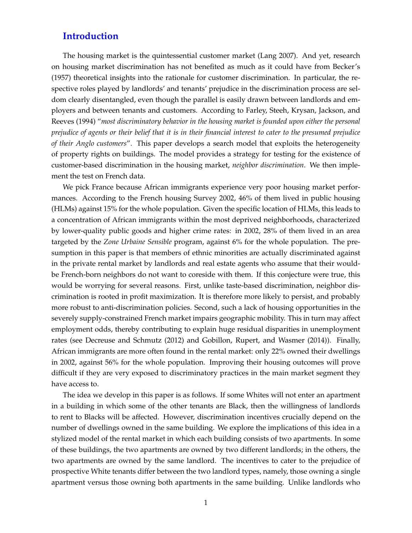### **Introduction**

The housing market is the quintessential customer market (Lang 2007). And yet, research on housing market discrimination has not benefited as much as it could have from Becker's (1957) theoretical insights into the rationale for customer discrimination. In particular, the respective roles played by landlords' and tenants' prejudice in the discrimination process are seldom clearly disentangled, even though the parallel is easily drawn between landlords and employers and between tenants and customers. According to Farley, Steeh, Krysan, Jackson, and Reeves (1994) "*most discriminatory behavior in the housing market is founded upon either the personal prejudice of agents or their belief that it is in their financial interest to cater to the presumed prejudice of their Anglo customers*". This paper develops a search model that exploits the heterogeneity of property rights on buildings. The model provides a strategy for testing for the existence of customer-based discrimination in the housing market, *neighbor discrimination*. We then implement the test on French data.

We pick France because African immigrants experience very poor housing market performances. According to the French housing Survey 2002, 46% of them lived in public housing (HLMs) against 15% for the whole population. Given the specific location of HLMs, this leads to a concentration of African immigrants within the most deprived neighborhoods, characterized by lower-quality public goods and higher crime rates: in 2002, 28% of them lived in an area targeted by the *Zone Urbaine Sensible* program, against 6% for the whole population. The presumption in this paper is that members of ethnic minorities are actually discriminated against in the private rental market by landlords and real estate agents who assume that their wouldbe French-born neighbors do not want to coreside with them. If this conjecture were true, this would be worrying for several reasons. First, unlike taste-based discrimination, neighbor discrimination is rooted in profit maximization. It is therefore more likely to persist, and probably more robust to anti-discrimination policies. Second, such a lack of housing opportunities in the severely supply-constrained French market impairs geographic mobility. This in turn may affect employment odds, thereby contributing to explain huge residual disparities in unemployment rates (see Decreuse and Schmutz (2012) and Gobillon, Rupert, and Wasmer (2014)). Finally, African immigrants are more often found in the rental market: only 22% owned their dwellings in 2002, against 56% for the whole population. Improving their housing outcomes will prove difficult if they are very exposed to discriminatory practices in the main market segment they have access to.

The idea we develop in this paper is as follows. If some Whites will not enter an apartment in a building in which some of the other tenants are Black, then the willingness of landlords to rent to Blacks will be affected. However, discrimination incentives crucially depend on the number of dwellings owned in the same building. We explore the implications of this idea in a stylized model of the rental market in which each building consists of two apartments. In some of these buildings, the two apartments are owned by two different landlords; in the others, the two apartments are owned by the same landlord. The incentives to cater to the prejudice of prospective White tenants differ between the two landlord types, namely, those owning a single apartment versus those owning both apartments in the same building. Unlike landlords who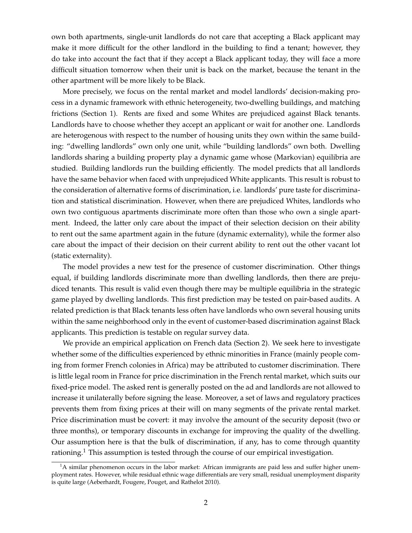own both apartments, single-unit landlords do not care that accepting a Black applicant may make it more difficult for the other landlord in the building to find a tenant; however, they do take into account the fact that if they accept a Black applicant today, they will face a more difficult situation tomorrow when their unit is back on the market, because the tenant in the other apartment will be more likely to be Black.

More precisely, we focus on the rental market and model landlords' decision-making process in a dynamic framework with ethnic heterogeneity, two-dwelling buildings, and matching frictions (Section 1). Rents are fixed and some Whites are prejudiced against Black tenants. Landlords have to choose whether they accept an applicant or wait for another one. Landlords are heterogenous with respect to the number of housing units they own within the same building: "dwelling landlords" own only one unit, while "building landlords" own both. Dwelling landlords sharing a building property play a dynamic game whose (Markovian) equilibria are studied. Building landlords run the building efficiently. The model predicts that all landlords have the same behavior when faced with unprejudiced White applicants. This result is robust to the consideration of alternative forms of discrimination, i.e. landlords' pure taste for discrimination and statistical discrimination. However, when there are prejudiced Whites, landlords who own two contiguous apartments discriminate more often than those who own a single apartment. Indeed, the latter only care about the impact of their selection decision on their ability to rent out the same apartment again in the future (dynamic externality), while the former also care about the impact of their decision on their current ability to rent out the other vacant lot (static externality).

The model provides a new test for the presence of customer discrimination. Other things equal, if building landlords discriminate more than dwelling landlords, then there are prejudiced tenants. This result is valid even though there may be multiple equilibria in the strategic game played by dwelling landlords. This first prediction may be tested on pair-based audits. A related prediction is that Black tenants less often have landlords who own several housing units within the same neighborhood only in the event of customer-based discrimination against Black applicants. This prediction is testable on regular survey data.

We provide an empirical application on French data (Section 2). We seek here to investigate whether some of the difficulties experienced by ethnic minorities in France (mainly people coming from former French colonies in Africa) may be attributed to customer discrimination. There is little legal room in France for price discrimination in the French rental market, which suits our fixed-price model. The asked rent is generally posted on the ad and landlords are not allowed to increase it unilaterally before signing the lease. Moreover, a set of laws and regulatory practices prevents them from fixing prices at their will on many segments of the private rental market. Price discrimination must be covert: it may involve the amount of the security deposit (two or three months), or temporary discounts in exchange for improving the quality of the dwelling. Our assumption here is that the bulk of discrimination, if any, has to come through quantity rationing.<sup>1</sup> This assumption is tested through the course of our empirical investigation.

 $<sup>1</sup>A$  similar phenomenon occurs in the labor market: African immigrants are paid less and suffer higher unem-</sup> ployment rates. However, while residual ethnic wage differentials are very small, residual unemployment disparity is quite large (Aeberhardt, Fougere, Pouget, and Rathelot 2010).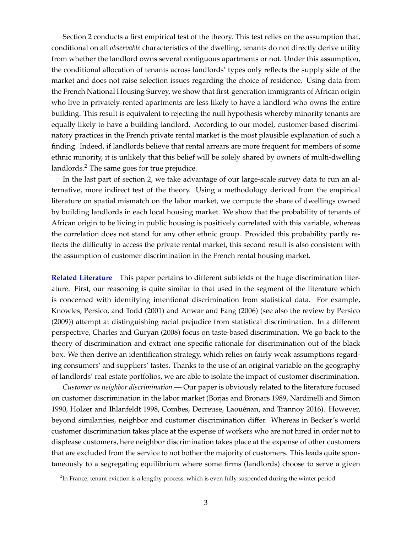Section 2 conducts a first empirical test of the theory. This test relies on the assumption that, conditional on all *observable* characteristics of the dwelling, tenants do not directly derive utility from whether the landlord owns several contiguous apartments or not. Under this assumption, the conditional allocation of tenants across landlords' types only reflects the supply side of the market and does not raise selection issues regarding the choice of residence. Using data from the French National Housing Survey, we show that first-generation immigrants of African origin who live in privately-rented apartments are less likely to have a landlord who owns the entire building. This result is equivalent to rejecting the null hypothesis whereby minority tenants are equally likely to have a building landlord. According to our model, customer-based discriminatory practices in the French private rental market is the most plausible explanation of such a finding. Indeed, if landlords believe that rental arrears are more frequent for members of some ethnic minority, it is unlikely that this belief will be solely shared by owners of multi-dwelling landlords.<sup>2</sup> The same goes for true prejudice.

In the last part of section 2, we take advantage of our large-scale survey data to run an alternative, more indirect test of the theory. Using a methodology derived from the empirical literature on spatial mismatch on the labor market, we compute the share of dwellings owned by building landlords in each local housing market. We show that the probability of tenants of African origin to be living in public housing is positively correlated with this variable, whereas the correlation does not stand for any other ethnic group. Provided this probability partly reflects the difficulty to access the private rental market, this second result is also consistent with the assumption of customer discrimination in the French rental housing market.

**Related Literature** This paper pertains to different subfields of the huge discrimination literature. First, our reasoning is quite similar to that used in the segment of the literature which is concerned with identifying intentional discrimination from statistical data. For example, Knowles, Persico, and Todd (2001) and Anwar and Fang (2006) (see also the review by Persico (2009)) attempt at distinguishing racial prejudice from statistical discrimination. In a different perspective, Charles and Guryan (2008) focus on taste-based discrimination. We go back to the theory of discrimination and extract one specific rationale for discrimination out of the black box. We then derive an identification strategy, which relies on fairly weak assumptions regarding consumers' and suppliers' tastes. Thanks to the use of an original variable on the geography of landlords' real estate portfolios, we are able to isolate the impact of customer discrimination.

*Customer vs neighbor discrimination.*— Our paper is obviously related to the literature focused on customer discrimination in the labor market (Borjas and Bronars 1989, Nardinelli and Simon 1990, Holzer and Ihlanfeldt 1998, Combes, Decreuse, Laouenan, and Trannoy 2016). However, ´ beyond similarities, neighbor and customer discrimination differ. Whereas in Becker's world customer discrimination takes place at the expense of workers who are not hired in order not to displease customers, here neighbor discrimination takes place at the expense of other customers that are excluded from the service to not bother the majority of customers. This leads quite spontaneously to a segregating equilibrium where some firms (landlords) choose to serve a given

 ${}^{2}$ In France, tenant eviction is a lengthy process, which is even fully suspended during the winter period.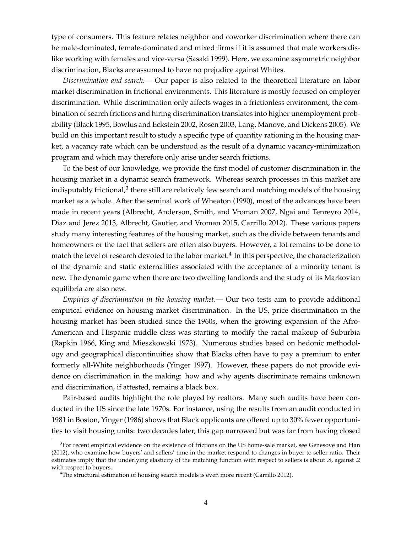type of consumers. This feature relates neighbor and coworker discrimination where there can be male-dominated, female-dominated and mixed firms if it is assumed that male workers dislike working with females and vice-versa (Sasaki 1999). Here, we examine asymmetric neighbor discrimination, Blacks are assumed to have no prejudice against Whites.

*Discrimination and search.*— Our paper is also related to the theoretical literature on labor market discrimination in frictional environments. This literature is mostly focused on employer discrimination. While discrimination only affects wages in a frictionless environment, the combination of search frictions and hiring discrimination translates into higher unemployment probability (Black 1995, Bowlus and Eckstein 2002, Rosen 2003, Lang, Manove, and Dickens 2005). We build on this important result to study a specific type of quantity rationing in the housing market, a vacancy rate which can be understood as the result of a dynamic vacancy-minimization program and which may therefore only arise under search frictions.

To the best of our knowledge, we provide the first model of customer discrimination in the housing market in a dynamic search framework. Whereas search processes in this market are indisputably frictional, $^3$  there still are relatively few search and matching models of the housing market as a whole. After the seminal work of Wheaton (1990), most of the advances have been made in recent years (Albrecht, Anderson, Smith, and Vroman 2007, Ngai and Tenreyro 2014, Díaz and Jerez 2013, Albrecht, Gautier, and Vroman 2015, Carrillo 2012). These various papers study many interesting features of the housing market, such as the divide between tenants and homeowners or the fact that sellers are often also buyers. However, a lot remains to be done to match the level of research devoted to the labor market. $^4$  In this perspective, the characterization of the dynamic and static externalities associated with the acceptance of a minority tenant is new. The dynamic game when there are two dwelling landlords and the study of its Markovian equilibria are also new.

*Empirics of discrimination in the housing market.*— Our two tests aim to provide additional empirical evidence on housing market discrimination. In the US, price discrimination in the housing market has been studied since the 1960s, when the growing expansion of the Afro-American and Hispanic middle class was starting to modify the racial makeup of Suburbia (Rapkin 1966, King and Mieszkowski 1973). Numerous studies based on hedonic methodology and geographical discontinuities show that Blacks often have to pay a premium to enter formerly all-White neighborhoods (Yinger 1997). However, these papers do not provide evidence on discrimination in the making: how and why agents discriminate remains unknown and discrimination, if attested, remains a black box.

Pair-based audits highlight the role played by realtors. Many such audits have been conducted in the US since the late 1970s. For instance, using the results from an audit conducted in 1981 in Boston, Yinger (1986) shows that Black applicants are offered up to 30% fewer opportunities to visit housing units: two decades later, this gap narrowed but was far from having closed

 ${}^{3}$ For recent empirical evidence on the existence of frictions on the US home-sale market, see Genesove and Han (2012), who examine how buyers' and sellers' time in the market respond to changes in buyer to seller ratio. Their estimates imply that the underlying elasticity of the matching function with respect to sellers is about .8, against .2 with respect to buyers.

<sup>&</sup>lt;sup>4</sup>The structural estimation of housing search models is even more recent (Carrillo 2012).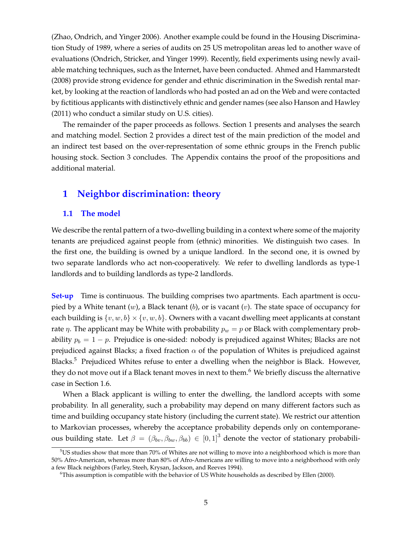(Zhao, Ondrich, and Yinger 2006). Another example could be found in the Housing Discrimination Study of 1989, where a series of audits on 25 US metropolitan areas led to another wave of evaluations (Ondrich, Stricker, and Yinger 1999). Recently, field experiments using newly available matching techniques, such as the Internet, have been conducted. Ahmed and Hammarstedt (2008) provide strong evidence for gender and ethnic discrimination in the Swedish rental market, by looking at the reaction of landlords who had posted an ad on the Web and were contacted by fictitious applicants with distinctively ethnic and gender names (see also Hanson and Hawley (2011) who conduct a similar study on U.S. cities).

The remainder of the paper proceeds as follows. Section 1 presents and analyses the search and matching model. Section 2 provides a direct test of the main prediction of the model and an indirect test based on the over-representation of some ethnic groups in the French public housing stock. Section 3 concludes. The Appendix contains the proof of the propositions and additional material.

### **1 Neighbor discrimination: theory**

#### **1.1 The model**

We describe the rental pattern of a two-dwelling building in a context where some of the majority tenants are prejudiced against people from (ethnic) minorities. We distinguish two cases. In the first one, the building is owned by a unique landlord. In the second one, it is owned by two separate landlords who act non-cooperatively. We refer to dwelling landlords as type-1 landlords and to building landlords as type-2 landlords.

**Set-up** Time is continuous. The building comprises two apartments. Each apartment is occupied by a White tenant  $(w)$ , a Black tenant  $(b)$ , or is vacant  $(v)$ . The state space of occupancy for each building is  $\{v, w, b\} \times \{v, w, b\}$ . Owners with a vacant dwelling meet applicants at constant rate  $\eta$ . The applicant may be White with probability  $p_w = p$  or Black with complementary probability  $p_b = 1 - p$ . Prejudice is one-sided: nobody is prejudiced against Whites; Blacks are not prejudiced against Blacks; a fixed fraction  $\alpha$  of the population of Whites is prejudiced against Blacks.<sup>5</sup> Prejudiced Whites refuse to enter a dwelling when the neighbor is Black. However, they do not move out if a Black tenant moves in next to them.<sup>6</sup> We briefly discuss the alternative case in Section 1.6.

When a Black applicant is willing to enter the dwelling, the landlord accepts with some probability. In all generality, such a probability may depend on many different factors such as time and building occupancy state history (including the current state). We restrict our attention to Markovian processes, whereby the acceptance probability depends only on contemporaneous building state. Let  $\beta = (\beta_{bv}, \beta_{bw}, \beta_{bb}) \in [0, 1]^3$  denote the vector of stationary probabili-

 $5$ US studies show that more than 70% of Whites are not willing to move into a neighborhood which is more than 50% Afro-American, whereas more than 80% of Afro-Americans are willing to move into a neighborhood with only a few Black neighbors (Farley, Steeh, Krysan, Jackson, and Reeves 1994).

 $6$ This assumption is compatible with the behavior of US White households as described by Ellen (2000).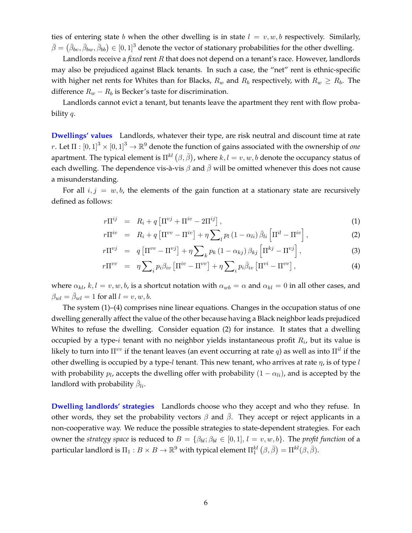ties of entering state b when the other dwelling is in state  $l = v, w, b$  respectively. Similarly,  $\bar{\beta}=\left(\bar{\beta}_{bv},\bar{\beta}_{bw},\bar{\beta}_{bb}\right)\in[0,1]^3$  denote the vector of stationary probabilities for the other dwelling.

Landlords receive a *fixed* rent R that does not depend on a tenant's race. However, landlords may also be prejudiced against Black tenants. In such a case, the "net" rent is ethnic-specific with higher net rents for Whites than for Blacks,  $R_w$  and  $R_b$  respectively, with  $R_w \ge R_b$ . The difference  $R_w - R_b$  is Becker's taste for discrimination.

Landlords cannot evict a tenant, but tenants leave the apartment they rent with flow probability  $q$ .

**Dwellings' values** Landlords, whatever their type, are risk neutral and discount time at rate  $r.$  Let  $\Pi:[0,1]^3\times[0,1]^3\to\mathbb{R}^9$  denote the function of gains associated with the ownership of *one* apartment. The typical element is  $\Pi^{kl}\left(\beta,\bar{\beta}\right)$ , where  $k,l=v,w,b$  denote the occupancy status of each dwelling. The dependence vis-à-vis  $\beta$  and  $\bar{\beta}$  will be omitted whenever this does not cause a misunderstanding.

For all  $i, j = w, b$ , the elements of the gain function at a stationary state are recursively defined as follows:

$$
r\Pi^{ij} = R_i + q \left[ \Pi^{ij} + \Pi^{iv} - 2\Pi^{ij} \right], \tag{1}
$$

$$
r\Pi^{iv} = R_i + q \left[ \Pi^{vv} - \Pi^{iv} \right] + \eta \sum_{l} p_l \left( 1 - \alpha_{li} \right) \bar{\beta}_{li} \left[ \Pi^{il} - \Pi^{iv} \right], \tag{2}
$$

$$
r\Pi^{vj} = q \left[ \Pi^{vv} - \Pi^{vj} \right] + \eta \sum_k p_k \left( 1 - \alpha_{kj} \right) \beta_{kj} \left[ \Pi^{kj} - \Pi^{vj} \right], \tag{3}
$$

$$
r\Pi^{vv} = \eta \sum_{i} p_i \beta_{iv} \left[ \Pi^{iv} - \Pi^{vv} \right] + \eta \sum_{i} p_i \bar{\beta}_{iv} \left[ \Pi^{vi} - \Pi^{vv} \right], \tag{4}
$$

where  $\alpha_{kl}$ ,  $k, l = v, w, b$ , is a shortcut notation with  $\alpha_{wb} = \alpha$  and  $\alpha_{kl} = 0$  in all other cases, and  $\beta_{wl} = \bar{\beta}_{wl} = 1$  for all  $l = v, w, b$ .

The system (1)–(4) comprises nine linear equations. Changes in the occupation status of one dwelling generally affect the value of the other because having a Black neighbor leads prejudiced Whites to refuse the dwelling. Consider equation (2) for instance. It states that a dwelling occupied by a type- $i$  tenant with no neighbor yields instantaneous profit  $R_i$ , but its value is likely to turn into  $\Pi^{vv}$  if the tenant leaves (an event occurring at rate q) as well as into  $\Pi^{il}$  if the other dwelling is occupied by a type-l tenant. This new tenant, who arrives at rate  $\eta$ , is of type l with probability  $p_l$ , accepts the dwelling offer with probability  $(1-\alpha_{li})$ , and is accepted by the landlord with probability  $\bar{\beta}_{li}.$ 

**Dwelling landlords' strategies** Landlords choose who they accept and who they refuse. In other words, they set the probability vectors  $\beta$  and  $\beta$ . They accept or reject applicants in a non-cooperative way. We reduce the possible strategies to state-dependent strategies. For each owner the *strategy space* is reduced to  $B = \{\beta_{bl}; \beta_{bl} \in [0,1], l = v, w, b\}$ . The *profit function* of a particular landlord is  $\Pi_1:B\times B\to\mathbb{R}^9$  with typical element  $\Pi_1^{kl}\left(\beta,\bar{\beta}\right)=\Pi^{kl}(\beta,\bar{\beta}).$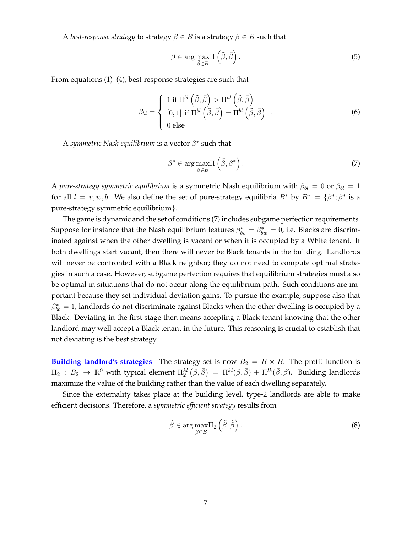A *best-response strategy* to strategy  $\overline{\beta} \in B$  is a strategy  $\beta \in B$  such that

$$
\beta \in \arg \max_{\tilde{\beta} \in B} \Pi \left( \tilde{\beta}, \bar{\beta} \right). \tag{5}
$$

From equations (1)–(4), best-response strategies are such that

$$
\beta_{bl} = \begin{cases} 1 \text{ if } \Pi^{bl} \left( \tilde{\beta}, \bar{\beta} \right) > \Pi^{vl} \left( \tilde{\beta}, \bar{\beta} \right) \\ [0, 1] \text{ if } \Pi^{bl} \left( \tilde{\beta}, \bar{\beta} \right) = \Pi^{bl} \left( \tilde{\beta}, \bar{\beta} \right) \\ 0 \text{ else} \end{cases} \tag{6}
$$

A symmetric Nash equilibrium is a vector  $\beta^*$  such that

$$
\beta^* \in \arg \max_{\tilde{\beta} \in B} \Pi \left( \tilde{\beta}, \beta^* \right). \tag{7}
$$

A *pure-strategy symmetric equilibrium* is a symmetric Nash equilibrium with  $\beta_{bl} = 0$  or  $\beta_{bl} = 1$ for all  $l = v, w, b$ . We also define the set of pure-strategy equilibria  $B^*$  by  $B^* = \{\beta^*; \beta^* \text{ is a } \}$ pure-strategy symmetric equilibrium}.

The game is dynamic and the set of conditions (7) includes subgame perfection requirements. Suppose for instance that the Nash equilibrium features  $\beta_{bv}^* = \beta_{bw}^* = 0$ , i.e. Blacks are discriminated against when the other dwelling is vacant or when it is occupied by a White tenant. If both dwellings start vacant, then there will never be Black tenants in the building. Landlords will never be confronted with a Black neighbor; they do not need to compute optimal strategies in such a case. However, subgame perfection requires that equilibrium strategies must also be optimal in situations that do not occur along the equilibrium path. Such conditions are important because they set individual-deviation gains. To pursue the example, suppose also that  $\beta^*_{bb} = 1$ , landlords do not discriminate against Blacks when the other dwelling is occupied by a Black. Deviating in the first stage then means accepting a Black tenant knowing that the other landlord may well accept a Black tenant in the future. This reasoning is crucial to establish that not deviating is the best strategy.

**Building landlord's strategies** The strategy set is now  $B_2 = B \times B$ . The profit function is  $\Pi_2$  :  $B_2$   $\to$   $\mathbb{R}^9$  with typical element  $\Pi_2^{kl}\left(\beta,\bar{\beta}\right)$   $=$   $\Pi^{kl}(\beta,\bar{\beta}) + \Pi^{lk}(\bar{\beta},\beta)$ . Building landlords maximize the value of the building rather than the value of each dwelling separately.

Since the externality takes place at the building level, type-2 landlords are able to make efficient decisions. Therefore, a *symmetric efficient strategy* results from

$$
\hat{\beta} \in \arg \max_{\tilde{\beta} \in B} \Pi_2 \left( \tilde{\beta}, \tilde{\beta} \right). \tag{8}
$$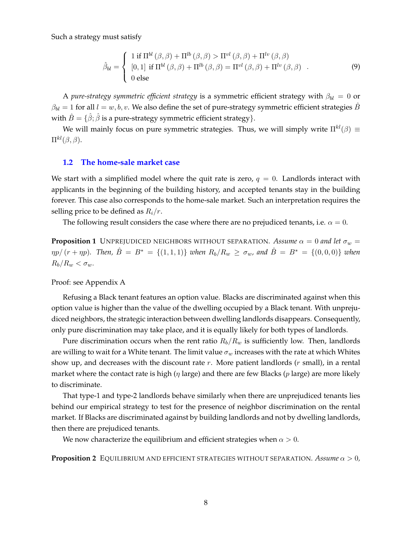Such a strategy must satisfy

$$
\hat{\beta}_{bl} = \begin{cases}\n1 \text{ if } \Pi^{bl}(\beta, \beta) + \Pi^{lb}(\beta, \beta) > \Pi^{vl}(\beta, \beta) + \Pi^{lv}(\beta, \beta) \\
[0,1] \text{ if } \Pi^{bl}(\beta, \beta) + \Pi^{lb}(\beta, \beta) = \Pi^{vl}(\beta, \beta) + \Pi^{lv}(\beta, \beta) \\
0 \text{ else}\n\end{cases} \tag{9}
$$

A *pure-strategy symmetric efficient strategy* is a symmetric efficient strategy with  $\beta_{bl} = 0$  or  $\beta_{bl} = 1$  for all  $l = w, b, v$ . We also define the set of pure-strategy symmetric efficient strategies  $\hat{B}$ with  $\hat{B} = \{\hat{\beta}; \hat{\beta} \text{ is a pure-strategy symmetric efficient strategy}\}.$ 

We will mainly focus on pure symmetric strategies. Thus, we will simply write  $\Pi^{kl}(\beta) \equiv$  $\Pi^{kl}(\beta,\beta).$ 

#### **1.2 The home-sale market case**

We start with a simplified model where the quit rate is zero,  $q = 0$ . Landlords interact with applicants in the beginning of the building history, and accepted tenants stay in the building forever. This case also corresponds to the home-sale market. Such an interpretation requires the selling price to be defined as  $R_i/r$ .

The following result considers the case where there are no prejudiced tenants, i.e.  $\alpha = 0$ .

**Proposition 1** UNPREJUDICED NEIGHBORS WITHOUT SEPARATION. Assume  $\alpha = 0$  and let  $\sigma_w =$  $\eta p/(r + \eta p)$ . Then,  $\hat{B} = B^* = \{(1, 1, 1)\}$  when  $R_b/R_w \ge \sigma_w$ , and  $\hat{B} = B^* = \{(0, 0, 0)\}$  when  $R_b/R_w < \sigma_w$ .

Proof: see Appendix A

Refusing a Black tenant features an option value. Blacks are discriminated against when this option value is higher than the value of the dwelling occupied by a Black tenant. With unprejudiced neighbors, the strategic interaction between dwelling landlords disappears. Consequently, only pure discrimination may take place, and it is equally likely for both types of landlords.

Pure discrimination occurs when the rent ratio  $R_b/R_w$  is sufficiently low. Then, landlords are willing to wait for a White tenant. The limit value  $\sigma_w$  increases with the rate at which Whites show up, and decreases with the discount rate  $r$ . More patient landlords ( $r$  small), in a rental market where the contact rate is high ( $\eta$  large) and there are few Blacks ( $p$  large) are more likely to discriminate.

That type-1 and type-2 landlords behave similarly when there are unprejudiced tenants lies behind our empirical strategy to test for the presence of neighbor discrimination on the rental market. If Blacks are discriminated against by building landlords and not by dwelling landlords, then there are prejudiced tenants.

We now characterize the equilibrium and efficient strategies when  $\alpha > 0$ .

**Proposition 2** EQUILIBRIUM AND EFFICIENT STRATEGIES WITHOUT SEPARATION. Assume  $\alpha > 0$ ,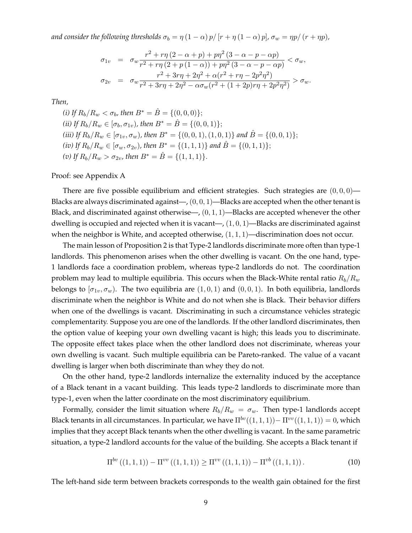*and consider the following thresholds*  $\sigma_b = \eta (1 - \alpha) p / [r + \eta (1 - \alpha) p]$ *,*  $\sigma_w = \eta p / (r + \eta p)$ *,* 

$$
\sigma_{1v} = \sigma_w \frac{r^2 + r\eta (2 - \alpha + p) + p\eta^2 (3 - \alpha - p - \alpha p)}{r^2 + r\eta (2 + p(1 - \alpha)) + p\eta^2 (3 - \alpha - p - \alpha p)} < \sigma_w,
$$
  

$$
\sigma_{2v} = \sigma_w \frac{r^2 + 3r\eta + 2\eta^2 + \alpha (r^2 + r\eta - 2p^2\eta^2)}{r^2 + 3r\eta + 2\eta^2 - \alpha \sigma_w (r^2 + (1 + 2p)r\eta + 2p^2\eta^2)} > \sigma_w.
$$

*Then,*

*(i)* If  $R_b/R_w < \sigma_b$ , then  $B^* = \hat{B} = \{(0,0,0)\};\$ *(ii)* If  $R_b/R_w \in [\sigma_b, \sigma_{1v})$ , then  $B^* = \hat{B} = \{(0, 0, 1)\};$ *(iii)* If  $R_b/R_w \in [\sigma_{1v}, \sigma_w)$ , then  $B^* = \{(0, 0, 1), (1, 0, 1)\}$  *and*  $\hat{B} = \{(0, 0, 1)\};$ *(iv)* If  $R_b/R_w \in [\sigma_w, \sigma_{2v})$ , then  $B^* = \{(1, 1, 1)\}\$  and  $\hat{B} = \{(0, 1, 1)\}\;$ *(v)* If  $R_b/R_w > \sigma_{2v}$ , then  $B^* = \hat{B} = \{(1,1,1)\}.$ 

Proof: see Appendix A

There are five possible equilibrium and efficient strategies. Such strategies are  $(0, 0, 0)$ — Blacks are always discriminated against—,  $(0, 0, 1)$ —Blacks are accepted when the other tenant is Black, and discriminated against otherwise—,  $(0, 1, 1)$ —Blacks are accepted whenever the other dwelling is occupied and rejected when it is vacant—,  $(1, 0, 1)$ —Blacks are discriminated against when the neighbor is White, and accepted otherwise,  $(1, 1, 1)$ —discrimination does not occur.

The main lesson of Proposition 2 is that Type-2 landlords discriminate more often than type-1 landlords. This phenomenon arises when the other dwelling is vacant. On the one hand, type-1 landlords face a coordination problem, whereas type-2 landlords do not. The coordination problem may lead to multiple equilibria. This occurs when the Black-White rental ratio  $R_b/R_w$ belongs to  $[\sigma_1, \sigma_w]$ . The two equilibria are  $(1, 0, 1)$  and  $(0, 0, 1)$ . In both equilibria, landlords discriminate when the neighbor is White and do not when she is Black. Their behavior differs when one of the dwellings is vacant. Discriminating in such a circumstance vehicles strategic complementarity. Suppose you are one of the landlords. If the other landlord discriminates, then the option value of keeping your own dwelling vacant is high; this leads you to discriminate. The opposite effect takes place when the other landlord does not discriminate, whereas your own dwelling is vacant. Such multiple equilibria can be Pareto-ranked. The value of a vacant dwelling is larger when both discriminate than whey they do not.

On the other hand, type-2 landlords internalize the externality induced by the acceptance of a Black tenant in a vacant building. This leads type-2 landlords to discriminate more than type-1, even when the latter coordinate on the most discriminatory equilibrium.

Formally, consider the limit situation where  $R_b/R_w = \sigma_w$ . Then type-1 landlords accept Black tenants in all circumstances. In particular, we have  $\Pi^{bv}((1,1,1))-\Pi^{vv}((1,1,1))=0$ , which implies that they accept Black tenants when the other dwelling is vacant. In the same parametric situation, a type-2 landlord accounts for the value of the building. She accepts a Black tenant if

$$
\Pi^{bv}((1,1,1)) - \Pi^{vv}((1,1,1)) \ge \Pi^{vv}((1,1,1)) - \Pi^{vb}((1,1,1)) \,. \tag{10}
$$

The left-hand side term between brackets corresponds to the wealth gain obtained for the first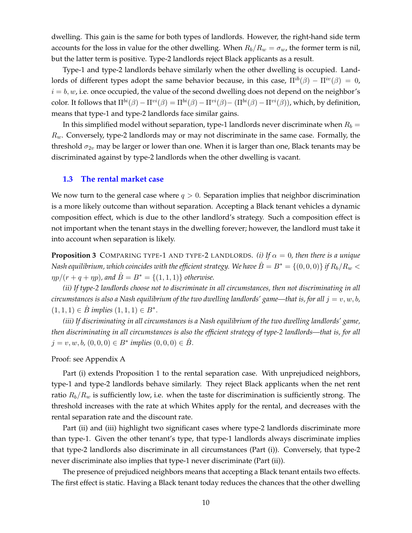dwelling. This gain is the same for both types of landlords. However, the right-hand side term accounts for the loss in value for the other dwelling. When  $R_b/R_w = \sigma_w$ , the former term is nil, but the latter term is positive. Type-2 landlords reject Black applicants as a result.

Type-1 and type-2 landlords behave similarly when the other dwelling is occupied. Landlords of different types adopt the same behavior because, in this case,  $\Pi^{ib}(\beta) - \Pi^{iv}(\beta) = 0$ ,  $i = b, w$ , i.e. once occupied, the value of the second dwelling does not depend on the neighbor's color. It follows that  $\Pi^{bi}(\beta) - \Pi^{vi}(\beta) = \Pi^{bi}(\beta) - \Pi^{vi}(\beta) - (\Pi^{bi}(\beta) - \Pi^{vi}(\beta))$ , which, by definition, means that type-1 and type-2 landlords face similar gains.

In this simplified model without separation, type-1 landlords never discriminate when  $R_b =$  $R_w$ . Conversely, type-2 landlords may or may not discriminate in the same case. Formally, the threshold  $\sigma_{2v}$  may be larger or lower than one. When it is larger than one, Black tenants may be discriminated against by type-2 landlords when the other dwelling is vacant.

#### **1.3 The rental market case**

We now turn to the general case where  $q > 0$ . Separation implies that neighbor discrimination is a more likely outcome than without separation. Accepting a Black tenant vehicles a dynamic composition effect, which is due to the other landlord's strategy. Such a composition effect is not important when the tenant stays in the dwelling forever; however, the landlord must take it into account when separation is likely.

**Proposition 3** COMPARING TYPE-1 AND TYPE-2 LANDLORDS. *(i)* If  $\alpha = 0$ , then there is a unique *Nash equilibrium, which coincides with the efficient strategy. We have*  $\hat{B} = B^* = \{(0,0,0)\}$  *if*  $R_b/R_w <$  $\eta p/(r + q + \eta p)$ , and  $\hat{B} = B^* = \{(1, 1, 1)\}\$  *otherwise.* 

*(ii) If type-2 landlords choose not to discriminate in all circumstances, then not discriminating in all circumstances is also a Nash equilibrium of the two dwelling landlords' game—that is, for all*  $j = v, w, b$ ,  $(1, 1, 1)$  ∈  $\hat{B}$  *implies*  $(1, 1, 1)$  ∈  $B^*$ .

*(iii) If discriminating in all circumstances is a Nash equilibrium of the two dwelling landlords' game, then discriminating in all circumstances is also the efficient strategy of type-2 landlords—that is, for all*  $j = v, w, b, (0, 0, 0) \in B^*$  *implies*  $(0, 0, 0) \in \hat{B}$ .

Proof: see Appendix A

Part (i) extends Proposition 1 to the rental separation case. With unprejudiced neighbors, type-1 and type-2 landlords behave similarly. They reject Black applicants when the net rent ratio  $R_b/R_w$  is sufficiently low, i.e. when the taste for discrimination is sufficiently strong. The threshold increases with the rate at which Whites apply for the rental, and decreases with the rental separation rate and the discount rate.

Part (ii) and (iii) highlight two significant cases where type-2 landlords discriminate more than type-1. Given the other tenant's type, that type-1 landlords always discriminate implies that type-2 landlords also discriminate in all circumstances (Part (i)). Conversely, that type-2 never discriminate also implies that type-1 never discriminate (Part (ii)).

The presence of prejudiced neighbors means that accepting a Black tenant entails two effects. The first effect is static. Having a Black tenant today reduces the chances that the other dwelling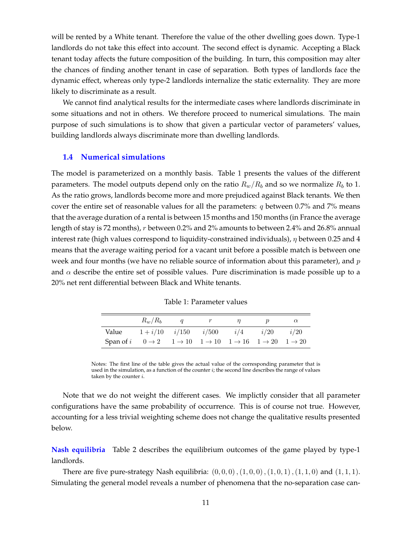will be rented by a White tenant. Therefore the value of the other dwelling goes down. Type-1 landlords do not take this effect into account. The second effect is dynamic. Accepting a Black tenant today affects the future composition of the building. In turn, this composition may alter the chances of finding another tenant in case of separation. Both types of landlords face the dynamic effect, whereas only type-2 landlords internalize the static externality. They are more likely to discriminate as a result.

We cannot find analytical results for the intermediate cases where landlords discriminate in some situations and not in others. We therefore proceed to numerical simulations. The main purpose of such simulations is to show that given a particular vector of parameters' values, building landlords always discriminate more than dwelling landlords.

#### **1.4 Numerical simulations**

The model is parameterized on a monthly basis. Table 1 presents the values of the different parameters. The model outputs depend only on the ratio  $R_w/R_b$  and so we normalize  $R_b$  to 1. As the ratio grows, landlords become more and more prejudiced against Black tenants. We then cover the entire set of reasonable values for all the parameters:  $q$  between 0.7% and 7% means that the average duration of a rental is between 15 months and 150 months (in France the average length of stay is 72 months), r between 0.2% and 2% amounts to between 2.4% and 26.8% annual interest rate (high values correspond to liquidity-constrained individuals),  $\eta$  between 0.25 and 4 means that the average waiting period for a vacant unit before a possible match is between one week and four months (we have no reliable source of information about this parameter), and  $p$ and  $\alpha$  describe the entire set of possible values. Pure discrimination is made possible up to a 20% net rent differential between Black and White tenants.

Table 1: Parameter values

|                                                                                                                              | $R_w/R_b$                      | $\overline{a}$ |  |      |      |
|------------------------------------------------------------------------------------------------------------------------------|--------------------------------|----------------|--|------|------|
| Value                                                                                                                        | $1+i/10$ $i/150$ $i/500$ $i/4$ |                |  | i/20 | i/20 |
| Span of $i$ $0 \rightarrow 2$ $1 \rightarrow 10$ $1 \rightarrow 10$ $1 \rightarrow 16$ $1 \rightarrow 20$ $1 \rightarrow 20$ |                                |                |  |      |      |

Notes: The first line of the table gives the actual value of the corresponding parameter that is used in the simulation, as a function of the counter  $i$ ; the second line describes the range of values taken by the counter  $i$ .

Note that we do not weight the different cases. We implictly consider that all parameter configurations have the same probability of occurrence. This is of course not true. However, accounting for a less trivial weighting scheme does not change the qualitative results presented below.

**Nash equilibria** Table 2 describes the equilibrium outcomes of the game played by type-1 landlords.

There are five pure-strategy Nash equilibria:  $(0, 0, 0)$ ,  $(1, 0, 0)$ ,  $(1, 0, 1)$ ,  $(1, 1, 0)$  and  $(1, 1, 1)$ . Simulating the general model reveals a number of phenomena that the no-separation case can-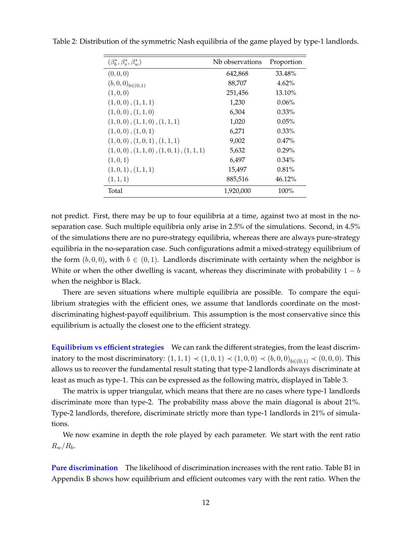| $(\beta_h^*, \beta_v^*, \beta_w^*)$ | Nb observations | Proportion |
|-------------------------------------|-----------------|------------|
| (0,0,0)                             | 642,868         | 33.48%     |
| $(b,0,0)_{b \in (0,1)}$             | 88,707          | 4.62%      |
| (1,0,0)                             | 251,456         | 13.10%     |
| $(1,0,0)$ , $(1,1,1)$               | 1,230           | $0.06\%$   |
| $(1,0,0)$ , $(1,1,0)$               | 6,304           | $0.33\%$   |
| $(1,0,0)$ , $(1,1,0)$ , $(1,1,1)$   | 1,020           | 0.05%      |
| $(1,0,0)$ , $(1,0,1)$               | 6,271           | $0.33\%$   |
| $(1,0,0)$ , $(1,0,1)$ , $(1,1,1)$   | 9,002           | 0.47%      |
| (1,0,0), (1,1,0), (1,0,1), (1,1,1)  | 5,632           | $0.29\%$   |
| (1,0,1)                             | 6,497           | $0.34\%$   |
| (1,0,1), (1,1,1)                    | 15,497          | 0.81%      |
| (1,1,1)                             | 885,516         | 46.12%     |
| Total                               | 1,920,000       | 100%       |

Table 2: Distribution of the symmetric Nash equilibria of the game played by type-1 landlords.

not predict. First, there may be up to four equilibria at a time, against two at most in the noseparation case. Such multiple equilibria only arise in 2.5% of the simulations. Second, in 4.5% of the simulations there are no pure-strategy equilibria, whereas there are always pure-strategy equilibria in the no-separation case. Such configurations admit a mixed-strategy equilibrium of the form  $(b, 0, 0)$ , with  $b \in (0, 1)$ . Landlords discriminate with certainty when the neighbor is White or when the other dwelling is vacant, whereas they discriminate with probability  $1 - b$ when the neighbor is Black.

There are seven situations where multiple equilibria are possible. To compare the equilibrium strategies with the efficient ones, we assume that landlords coordinate on the mostdiscriminating highest-payoff equilibrium. This assumption is the most conservative since this equilibrium is actually the closest one to the efficient strategy.

**Equilibrium vs efficient strategies** We can rank the different strategies, from the least discriminatory to the most discriminatory:  $(1, 1, 1)$   $\prec$   $(1, 0, 1)$   $\prec$   $(1, 0, 0)$   $\prec$   $(b, 0, 0)$ <sub>b∈ $(0, 1)$ </sub>  $\prec$   $(0, 0, 0)$ . This allows us to recover the fundamental result stating that type-2 landlords always discriminate at least as much as type-1. This can be expressed as the following matrix, displayed in Table 3.

The matrix is upper triangular, which means that there are no cases where type-1 landlords discriminate more than type-2. The probability mass above the main diagonal is about 21%. Type-2 landlords, therefore, discriminate strictly more than type-1 landlords in 21% of simulations.

We now examine in depth the role played by each parameter. We start with the rent ratio  $R_w/R_b$ .

**Pure discrimination** The likelihood of discrimination increases with the rent ratio. Table B1 in Appendix B shows how equilibrium and efficient outcomes vary with the rent ratio. When the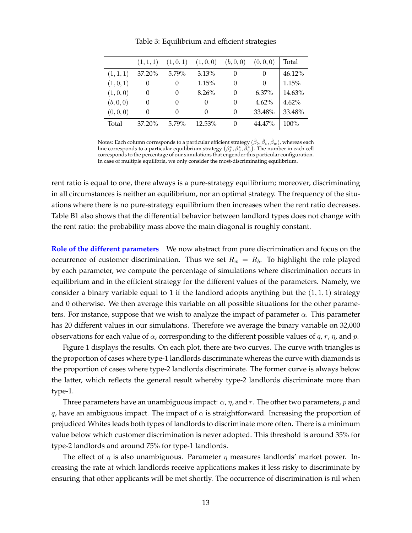|           | (1,1,1) | (1,0,1)  | (1,0,0)  | (b, 0, 0) | (0, 0, 0) | Total   |
|-----------|---------|----------|----------|-----------|-----------|---------|
| (1,1,1)   | 37.20%  | $5.79\%$ | 3.13%    | 0         | $\theta$  | 46.12%  |
| (1,0,1)   | 0       | $\theta$ | 1.15%    | 0         | $\theta$  | 1.15%   |
| (1,0,0)   | 0       | $\theta$ | 8.26%    | 0         | $6.37\%$  | 14.63%  |
| (b, 0, 0) | 0       | $\theta$ | $\cup$   | 0         | 4.62%     | 4.62%   |
| (0,0,0)   | 0       | $\theta$ | $\theta$ | 0         | 33.48%    | 33.48%  |
| Total     | 37.20%  | 5.79%    | 12.53%   | 0         | 44.47%    | $100\%$ |

Table 3: Equilibrium and efficient strategies

Notes: Each column corresponds to a particular efficient strategy  $(\hat{\beta}_b,\hat{\beta}_v,\hat{\beta}_w)$ , whereas each line corresponds to a particular equilibrium strategy  $(\beta_b^*,\beta_v^*,\bar{\beta}_w^*)$ . The number in each cell corresponds to the percentage of our simulations that engender this particular configuration. In case of multiple equilibria, we only consider the most-discriminating equilibrium.

rent ratio is equal to one, there always is a pure-strategy equilibrium; moreover, discriminating in all circumstances is neither an equilibrium, nor an optimal strategy. The frequency of the situations where there is no pure-strategy equilibrium then increases when the rent ratio decreases. Table B1 also shows that the differential behavior between landlord types does not change with the rent ratio: the probability mass above the main diagonal is roughly constant.

**Role of the different parameters** We now abstract from pure discrimination and focus on the occurrence of customer discrimination. Thus we set  $R_w = R_b$ . To highlight the role played by each parameter, we compute the percentage of simulations where discrimination occurs in equilibrium and in the efficient strategy for the different values of the parameters. Namely, we consider a binary variable equal to 1 if the landlord adopts anything but the  $(1, 1, 1)$  strategy and 0 otherwise. We then average this variable on all possible situations for the other parameters. For instance, suppose that we wish to analyze the impact of parameter  $\alpha$ . This parameter has 20 different values in our simulations. Therefore we average the binary variable on 32,000 observations for each value of  $\alpha$ , corresponding to the different possible values of  $q$ ,  $r$ ,  $\eta$ , and  $p$ .

Figure 1 displays the results. On each plot, there are two curves. The curve with triangles is the proportion of cases where type-1 landlords discriminate whereas the curve with diamonds is the proportion of cases where type-2 landlords discriminate. The former curve is always below the latter, which reflects the general result whereby type-2 landlords discriminate more than type-1.

Three parameters have an unambiguous impact:  $\alpha$ ,  $\eta$ , and r. The other two parameters, p and q, have an ambiguous impact. The impact of  $\alpha$  is straightforward. Increasing the proportion of prejudiced Whites leads both types of landlords to discriminate more often. There is a minimum value below which customer discrimination is never adopted. This threshold is around 35% for type-2 landlords and around 75% for type-1 landlords.

The effect of  $\eta$  is also unambiguous. Parameter  $\eta$  measures landlords' market power. Increasing the rate at which landlords receive applications makes it less risky to discriminate by ensuring that other applicants will be met shortly. The occurrence of discrimination is nil when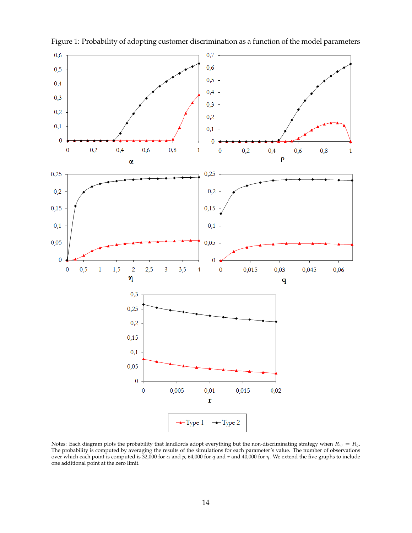

Figure 1: Probability of adopting customer discrimination as a function of the model parameters

Notes: Each diagram plots the probability that landlords adopt everything but the non-discriminating strategy when  $R_w = R_b$ . The probability is computed by averaging the results of the simulations for each parameter's value. The number of observations over which each point is computed is 32,000 for  $\alpha$  and p, 64,000 for q and r and 40,000 for  $\eta$ . We extend the five graphs to include one additional point at the zero limit.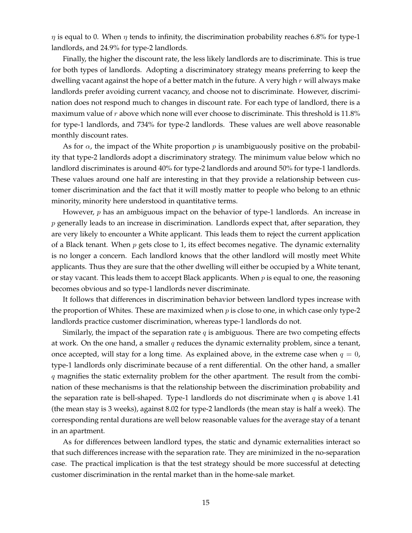$\eta$  is equal to 0. When  $\eta$  tends to infinity, the discrimination probability reaches 6.8% for type-1 landlords, and 24.9% for type-2 landlords.

Finally, the higher the discount rate, the less likely landlords are to discriminate. This is true for both types of landlords. Adopting a discriminatory strategy means preferring to keep the dwelling vacant against the hope of a better match in the future. A very high  $r$  will always make landlords prefer avoiding current vacancy, and choose not to discriminate. However, discrimination does not respond much to changes in discount rate. For each type of landlord, there is a maximum value of  $r$  above which none will ever choose to discriminate. This threshold is 11.8% for type-1 landlords, and 734% for type-2 landlords. These values are well above reasonable monthly discount rates.

As for  $\alpha$ , the impact of the White proportion p is unambiguously positive on the probability that type-2 landlords adopt a discriminatory strategy. The minimum value below which no landlord discriminates is around 40% for type-2 landlords and around 50% for type-1 landlords. These values around one half are interesting in that they provide a relationship between customer discrimination and the fact that it will mostly matter to people who belong to an ethnic minority, minority here understood in quantitative terms.

However,  $p$  has an ambiguous impact on the behavior of type-1 landlords. An increase in  $p$  generally leads to an increase in discrimination. Landlords expect that, after separation, they are very likely to encounter a White applicant. This leads them to reject the current application of a Black tenant. When  $p$  gets close to 1, its effect becomes negative. The dynamic externality is no longer a concern. Each landlord knows that the other landlord will mostly meet White applicants. Thus they are sure that the other dwelling will either be occupied by a White tenant, or stay vacant. This leads them to accept Black applicants. When  $p$  is equal to one, the reasoning becomes obvious and so type-1 landlords never discriminate.

It follows that differences in discrimination behavior between landlord types increase with the proportion of Whites. These are maximized when  $p$  is close to one, in which case only type-2 landlords practice customer discrimination, whereas type-1 landlords do not.

Similarly, the impact of the separation rate  $q$  is ambiguous. There are two competing effects at work. On the one hand, a smaller  $q$  reduces the dynamic externality problem, since a tenant, once accepted, will stay for a long time. As explained above, in the extreme case when  $q = 0$ , type-1 landlords only discriminate because of a rent differential. On the other hand, a smaller  $q$  magnifies the static externality problem for the other apartment. The result from the combination of these mechanisms is that the relationship between the discrimination probability and the separation rate is bell-shaped. Type-1 landlords do not discriminate when  $q$  is above 1.41 (the mean stay is 3 weeks), against 8.02 for type-2 landlords (the mean stay is half a week). The corresponding rental durations are well below reasonable values for the average stay of a tenant in an apartment.

As for differences between landlord types, the static and dynamic externalities interact so that such differences increase with the separation rate. They are minimized in the no-separation case. The practical implication is that the test strategy should be more successful at detecting customer discrimination in the rental market than in the home-sale market.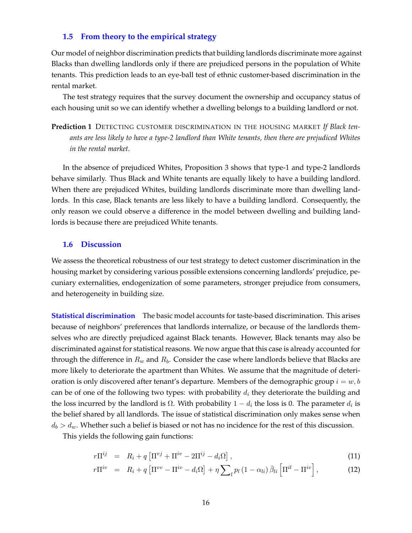#### **1.5 From theory to the empirical strategy**

Our model of neighbor discrimination predicts that building landlords discriminate more against Blacks than dwelling landlords only if there are prejudiced persons in the population of White tenants. This prediction leads to an eye-ball test of ethnic customer-based discrimination in the rental market.

The test strategy requires that the survey document the ownership and occupancy status of each housing unit so we can identify whether a dwelling belongs to a building landlord or not.

**Prediction 1** DETECTING CUSTOMER DISCRIMINATION IN THE HOUSING MARKET *If Black tenants are less likely to have a type-2 landlord than White tenants, then there are prejudiced Whites in the rental market.*

In the absence of prejudiced Whites, Proposition 3 shows that type-1 and type-2 landlords behave similarly. Thus Black and White tenants are equally likely to have a building landlord. When there are prejudiced Whites, building landlords discriminate more than dwelling landlords. In this case, Black tenants are less likely to have a building landlord. Consequently, the only reason we could observe a difference in the model between dwelling and building landlords is because there are prejudiced White tenants.

#### **1.6 Discussion**

We assess the theoretical robustness of our test strategy to detect customer discrimination in the housing market by considering various possible extensions concerning landlords' prejudice, pecuniary externalities, endogenization of some parameters, stronger prejudice from consumers, and heterogeneity in building size.

**Statistical discrimination** The basic model accounts for taste-based discrimination. This arises because of neighbors' preferences that landlords internalize, or because of the landlords themselves who are directly prejudiced against Black tenants. However, Black tenants may also be discriminated against for statistical reasons. We now argue that this case is already accounted for through the difference in  $R_w$  and  $R_b$ . Consider the case where landlords believe that Blacks are more likely to deteriorate the apartment than Whites. We assume that the magnitude of deterioration is only discovered after tenant's departure. Members of the demographic group  $i = w, b$ can be of one of the following two types: with probability  $d_i$  they deteriorate the building and the loss incurred by the landlord is Ω. With probability  $1-d_i$  the loss is 0. The parameter  $d_i$  is the belief shared by all landlords. The issue of statistical discrimination only makes sense when  $d_b > d_w$ . Whether such a belief is biased or not has no incidence for the rest of this discussion.

This yields the following gain functions:

$$
r\Pi^{ij} = R_i + q \left[ \Pi^{ij} + \Pi^{iv} - 2\Pi^{ij} - d_i\Omega \right], \tag{11}
$$

$$
r\Pi^{iv} = R_i + q \left[ \Pi^{vv} - \Pi^{iv} - d_i \Omega \right] + \eta \sum_{l} p_l \left( 1 - \alpha_{li} \right) \bar{\beta}_{li} \left[ \Pi^{il} - \Pi^{iv} \right], \tag{12}
$$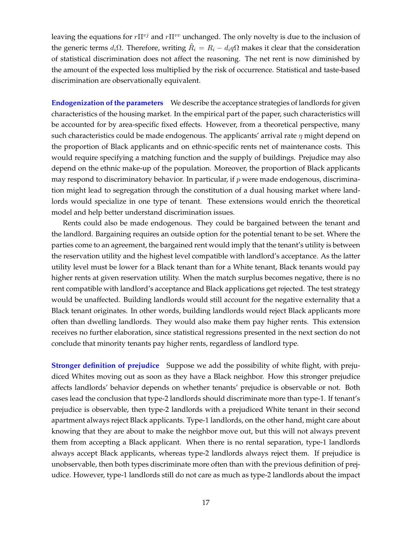leaving the equations for  $r\Pi^{vj}$  and  $r\Pi^{vv}$  unchanged. The only novelty is due to the inclusion of the generic terms  $d_i\Omega$ . Therefore, writing  $\tilde{R}_i = R_i - d_i q\Omega$  makes it clear that the consideration of statistical discrimination does not affect the reasoning. The net rent is now diminished by the amount of the expected loss multiplied by the risk of occurrence. Statistical and taste-based discrimination are observationally equivalent.

**Endogenization of the parameters** We describe the acceptance strategies of landlords for given characteristics of the housing market. In the empirical part of the paper, such characteristics will be accounted for by area-specific fixed effects. However, from a theoretical perspective, many such characteristics could be made endogenous. The applicants' arrival rate  $\eta$  might depend on the proportion of Black applicants and on ethnic-specific rents net of maintenance costs. This would require specifying a matching function and the supply of buildings. Prejudice may also depend on the ethnic make-up of the population. Moreover, the proportion of Black applicants may respond to discriminatory behavior. In particular, if  $p$  were made endogenous, discrimination might lead to segregation through the constitution of a dual housing market where landlords would specialize in one type of tenant. These extensions would enrich the theoretical model and help better understand discrimination issues.

Rents could also be made endogenous. They could be bargained between the tenant and the landlord. Bargaining requires an outside option for the potential tenant to be set. Where the parties come to an agreement, the bargained rent would imply that the tenant's utility is between the reservation utility and the highest level compatible with landlord's acceptance. As the latter utility level must be lower for a Black tenant than for a White tenant, Black tenants would pay higher rents at given reservation utility. When the match surplus becomes negative, there is no rent compatible with landlord's acceptance and Black applications get rejected. The test strategy would be unaffected. Building landlords would still account for the negative externality that a Black tenant originates. In other words, building landlords would reject Black applicants more often than dwelling landlords. They would also make them pay higher rents. This extension receives no further elaboration, since statistical regressions presented in the next section do not conclude that minority tenants pay higher rents, regardless of landlord type.

**Stronger definition of prejudice** Suppose we add the possibility of white flight, with prejudiced Whites moving out as soon as they have a Black neighbor. How this stronger prejudice affects landlords' behavior depends on whether tenants' prejudice is observable or not. Both cases lead the conclusion that type-2 landlords should discriminate more than type-1. If tenant's prejudice is observable, then type-2 landlords with a prejudiced White tenant in their second apartment always reject Black applicants. Type-1 landlords, on the other hand, might care about knowing that they are about to make the neighbor move out, but this will not always prevent them from accepting a Black applicant. When there is no rental separation, type-1 landlords always accept Black applicants, whereas type-2 landlords always reject them. If prejudice is unobservable, then both types discriminate more often than with the previous definition of prejudice. However, type-1 landlords still do not care as much as type-2 landlords about the impact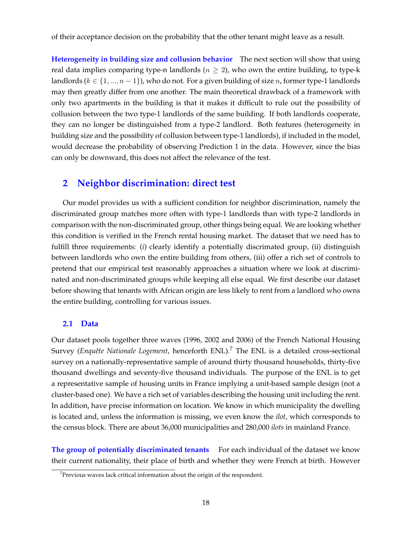of their acceptance decision on the probability that the other tenant might leave as a result.

**Heterogeneity in building size and collusion behavior** The next section will show that using real data implies comparing type-n landlords ( $n \geq 2$ ), who own the entire building, to type-k landlords ( $k \in \{1, ..., n-1\}$ ), who do not. For a given building of size *n*, former type-1 landlords may then greatly differ from one another. The main theoretical drawback of a framework with only two apartments in the building is that it makes it difficult to rule out the possibility of collusion between the two type-1 landlords of the same building. If both landlords cooperate, they can no longer be distinguished from a type-2 landlord. Both features (heterogeneity in building size and the possibility of collusion between type-1 landlords), if included in the model, would decrease the probability of observing Prediction 1 in the data. However, since the bias can only be downward, this does not affect the relevance of the test.

### **2 Neighbor discrimination: direct test**

Our model provides us with a sufficient condition for neighbor discrimination, namely the discriminated group matches more often with type-1 landlords than with type-2 landlords in comparison with the non-discriminated group, other things being equal. We are looking whether this condition is verified in the French rental housing market. The dataset that we need has to fulfill three requirements: (*i*) clearly identify a potentially discrimated group, (ii) distinguish between landlords who own the entire building from others, (iii) offer a rich set of controls to pretend that our empirical test reasonably approaches a situation where we look at discriminated and non-discriminated groups while keeping all else equal. We first describe our dataset before showing that tenants with African origin are less likely to rent from a landlord who owns the entire building, controlling for various issues.

#### **2.1 Data**

Our dataset pools together three waves (1996, 2002 and 2006) of the French National Housing Survey (*Enquête Nationale Logement*, henceforth ENL).<sup>7</sup> The ENL is a detailed cross-sectional survey on a nationally-representative sample of around thirty thousand households, thirty-five thousand dwellings and seventy-five thousand individuals. The purpose of the ENL is to get a representative sample of housing units in France implying a unit-based sample design (not a cluster-based one). We have a rich set of variables describing the housing unit including the rent. In addition, have precise information on location. We know in which municipality the dwelling is located and, unless the information is missing, we even know the *ilot*, which corresponds to the census block. There are about 36,000 municipalities and 280,000 *ilots* in mainland France.

**The group of potentially discriminated tenants** For each individual of the dataset we know their current nationality, their place of birth and whether they were French at birth. However

 $7$ Previous waves lack critical information about the origin of the respondent.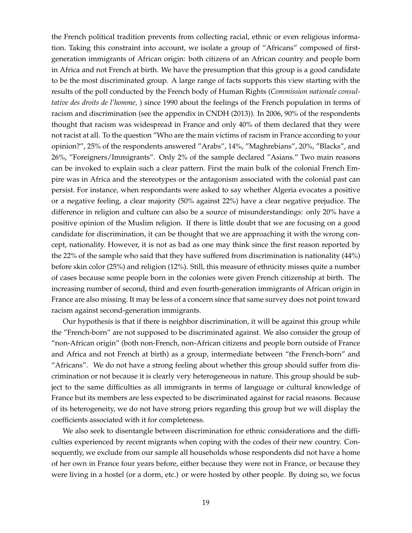the French political tradition prevents from collecting racial, ethnic or even religious information. Taking this constraint into account, we isolate a group of "Africans" composed of firstgeneration immigrants of African origin: both citizens of an African country and people born in Africa and not French at birth. We have the presumption that this group is a good candidate to be the most discriminated group. A large range of facts supports this view starting with the results of the poll conducted by the French body of Human Rights (*Commission nationale consultative des droits de l'homme,* ) since 1990 about the feelings of the French population in terms of racism and discrimination (see the appendix in CNDH (2013)). In 2006, 90% of the respondents thought that racism was widespread in France and only 40% of them declared that they were not racist at all. To the question "Who are the main victims of racism in France according to your opinion?", 25% of the respondents answered "Arabs", 14%, "Maghrebians", 20%, "Blacks", and 26%, "Foreigners/Immigrants". Only 2% of the sample declared "Asians." Two main reasons can be invoked to explain such a clear pattern. First the main bulk of the colonial French Empire was in Africa and the stereotypes or the antagonism associated with the colonial past can persist. For instance, when respondants were asked to say whether Algeria evocates a positive or a negative feeling, a clear majority (50% against 22%) have a clear negative prejudice. The difference in religion and culture can also be a source of misunderstandings: only 20% have a positive opinion of the Muslim religion. If there is little doubt that we are focusing on a good candidate for discrimination, it can be thought that we are approaching it with the wrong concept, nationality. However, it is not as bad as one may think since the first reason reported by the 22% of the sample who said that they have suffered from discrimination is nationality (44%) before skin color (25%) and religion (12%). Still, this measure of ethnicity misses quite a number of cases because some people born in the colonies were given French citizenship at birth. The increasing number of second, third and even fourth-generation immigrants of African origin in France are also missing. It may be less of a concern since that same survey does not point toward racism against second-generation immigrants.

Our hypothesis is that if there is neighbor discrimination, it will be against this group while the "French-born" are not supposed to be discriminated against. We also consider the group of "non-African origin" (both non-French, non-African citizens and people born outside of France and Africa and not French at birth) as a group, intermediate between "the French-born" and "Africans". We do not have a strong feeling about whether this group should suffer from discrimination or not because it is clearly very heterogeneous in nature. This group should be subject to the same difficulties as all immigrants in terms of language or cultural knowledge of France but its members are less expected to be discriminated against for racial reasons. Because of its heterogeneity, we do not have strong priors regarding this group but we will display the coefficients associated with it for completeness.

We also seek to disentangle between discrimination for ethnic considerations and the difficulties experienced by recent migrants when coping with the codes of their new country. Consequently, we exclude from our sample all households whose respondents did not have a home of her own in France four years before, either because they were not in France, or because they were living in a hostel (or a dorm, etc.) or were hosted by other people. By doing so, we focus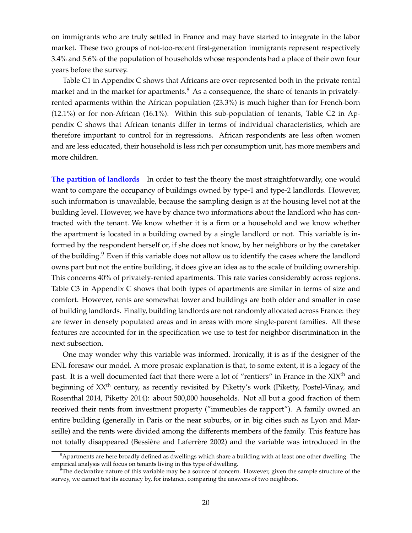on immigrants who are truly settled in France and may have started to integrate in the labor market. These two groups of not-too-recent first-generation immigrants represent respectively 3.4% and 5.6% of the population of households whose respondents had a place of their own four years before the survey.

Table C1 in Appendix C shows that Africans are over-represented both in the private rental market and in the market for apartments. $8$  As a consequence, the share of tenants in privatelyrented aparments within the African population (23.3%) is much higher than for French-born (12.1%) or for non-African (16.1%). Within this sub-population of tenants, Table C2 in Appendix C shows that African tenants differ in terms of individual characteristics, which are therefore important to control for in regressions. African respondents are less often women and are less educated, their household is less rich per consumption unit, has more members and more children.

**The partition of landlords** In order to test the theory the most straightforwardly, one would want to compare the occupancy of buildings owned by type-1 and type-2 landlords. However, such information is unavailable, because the sampling design is at the housing level not at the building level. However, we have by chance two informations about the landlord who has contracted with the tenant. We know whether it is a firm or a household and we know whether the apartment is located in a building owned by a single landlord or not. This variable is informed by the respondent herself or, if she does not know, by her neighbors or by the caretaker of the building.<sup>9</sup> Even if this variable does not allow us to identify the cases where the landlord owns part but not the entire building, it does give an idea as to the scale of building ownership. This concerns 40% of privately-rented apartments. This rate varies considerably across regions. Table C3 in Appendix C shows that both types of apartments are similar in terms of size and comfort. However, rents are somewhat lower and buildings are both older and smaller in case of building landlords. Finally, building landlords are not randomly allocated across France: they are fewer in densely populated areas and in areas with more single-parent families. All these features are accounted for in the specification we use to test for neighbor discrimination in the next subsection.

One may wonder why this variable was informed. Ironically, it is as if the designer of the ENL foresaw our model. A more prosaic explanation is that, to some extent, it is a legacy of the past. It is a well documented fact that there were a lot of "rentiers" in France in the XIX<sup>th</sup> and beginning of XX<sup>th</sup> century, as recently revisited by Piketty's work (Piketty, Postel-Vinay, and Rosenthal 2014, Piketty 2014): about 500,000 households. Not all but a good fraction of them received their rents from investment property ("immeubles de rapport"). A family owned an entire building (generally in Paris or the near suburbs, or in big cities such as Lyon and Marseille) and the rents were divided among the differents members of the family. This feature has not totally disappeared (Bessière and Laferrère 2002) and the variable was introduced in the

<sup>8</sup>Apartments are here broadly defined as dwellings which share a building with at least one other dwelling. The empirical analysis will focus on tenants living in this type of dwelling.

 $^{9}$ The declarative nature of this variable may be a source of concern. However, given the sample structure of the survey, we cannot test its accuracy by, for instance, comparing the answers of two neighbors.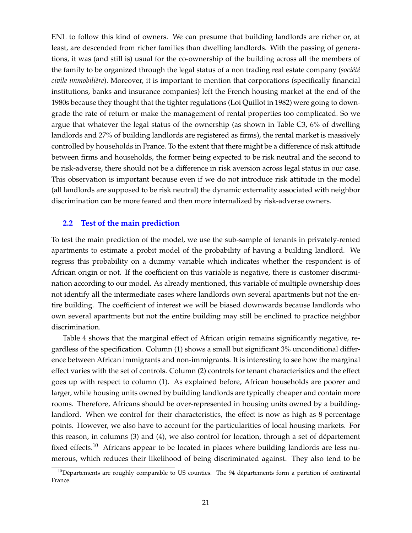ENL to follow this kind of owners. We can presume that building landlords are richer or, at least, are descended from richer families than dwelling landlords. With the passing of generations, it was (and still is) usual for the co-ownership of the building across all the members of the family to be organized through the legal status of a non trading real estate company (société *civile immobili`ere*). Moreover, it is important to mention that corporations (specifically financial institutions, banks and insurance companies) left the French housing market at the end of the 1980s because they thought that the tighter regulations (Loi Quillot in 1982) were going to downgrade the rate of return or make the management of rental properties too complicated. So we argue that whatever the legal status of the ownership (as shown in Table C3, 6% of dwelling landlords and 27% of building landlords are registered as firms), the rental market is massively controlled by households in France. To the extent that there might be a difference of risk attitude between firms and households, the former being expected to be risk neutral and the second to be risk-adverse, there should not be a difference in risk aversion across legal status in our case. This observation is important because even if we do not introduce risk attitude in the model (all landlords are supposed to be risk neutral) the dynamic externality associated with neighbor discrimination can be more feared and then more internalized by risk-adverse owners.

#### **2.2 Test of the main prediction**

To test the main prediction of the model, we use the sub-sample of tenants in privately-rented apartments to estimate a probit model of the probability of having a building landlord. We regress this probability on a dummy variable which indicates whether the respondent is of African origin or not. If the coefficient on this variable is negative, there is customer discrimination according to our model. As already mentioned, this variable of multiple ownership does not identify all the intermediate cases where landlords own several apartments but not the entire building. The coefficient of interest we will be biased downwards because landlords who own several apartments but not the entire building may still be enclined to practice neighbor discrimination.

Table 4 shows that the marginal effect of African origin remains significantly negative, regardless of the specification. Column (1) shows a small but significant 3% unconditional difference between African immigrants and non-immigrants. It is interesting to see how the marginal effect varies with the set of controls. Column (2) controls for tenant characteristics and the effect goes up with respect to column (1). As explained before, African households are poorer and larger, while housing units owned by building landlords are typically cheaper and contain more rooms. Therefore, Africans should be over-represented in housing units owned by a buildinglandlord. When we control for their characteristics, the effect is now as high as 8 percentage points. However, we also have to account for the particularities of local housing markets. For this reason, in columns (3) and (4), we also control for location, through a set of département fixed effects.<sup>10</sup> Africans appear to be located in places where building landlords are less numerous, which reduces their likelihood of being discriminated against. They also tend to be

 $10$ Départements are roughly comparable to US counties. The 94 départements form a partition of continental France.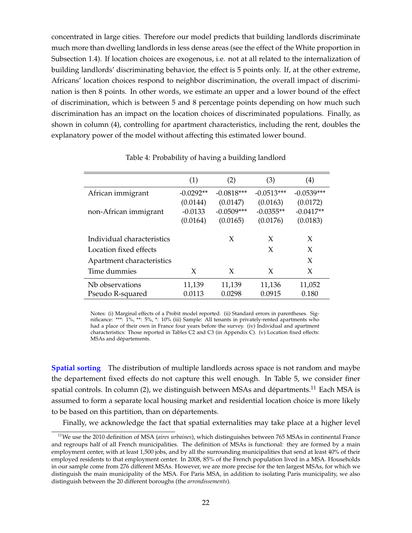concentrated in large cities. Therefore our model predicts that building landlords discriminate much more than dwelling landlords in less dense areas (see the effect of the White proportion in Subsection 1.4). If location choices are exogenous, i.e. not at all related to the internalization of building landlords' discriminating behavior, the effect is 5 points only. If, at the other extreme, Africans' location choices respond to neighbor discrimination, the overall impact of discrimination is then 8 points. In other words, we estimate an upper and a lower bound of the effect of discrimination, which is between 5 and 8 percentage points depending on how much such discrimination has an impact on the location choices of discriminated populations. Finally, as shown in column (4), controlling for apartment characteristics, including the rent, doubles the explanatory power of the model without affecting this estimated lower bound.

|                            | (1)         | (2)          | (3)          | (4)          |
|----------------------------|-------------|--------------|--------------|--------------|
| African immigrant          | $-0.0292**$ | $-0.0818***$ | $-0.0513***$ | $-0.0539***$ |
|                            | (0.0144)    | (0.0147)     | (0.0163)     | (0.0172)     |
| non-African immigrant      | $-0.0133$   | $-0.0509***$ | $-0.0355**$  | $-0.0417**$  |
|                            | (0.0164)    | (0.0165)     | (0.0176)     | (0.0183)     |
|                            |             |              |              |              |
| Individual characteristics |             | X            | X            | X            |
| Location fixed effects     |             |              | X            | X            |
| Apartment characteristics  |             |              |              | X            |
| Time dummies               | X           | X            | X            | X            |
| Nb observations            | 11,139      | 11,139       | 11,136       | 11,052       |
| Pseudo R-squared           | 0.0113      | 0.0298       | 0.0915       | 0.180        |

Table 4: Probability of having a building landlord

Notes: (i) Marginal effects of a Probit model reported. (ii) Standard errors in parentheses. Significance: \*\*\*: 1%, \*\*: 5%, \*: 10% (iii) Sample: All tenants in privately-rented apartments who had a place of their own in France four years before the survey. (iv) Individual and apartment characteristics: Those reported in Tables C2 and C3 (in Appendix C). (v) Location fixed effects: MSAs and départements.

**Spatial sorting** The distribution of multiple landlords across space is not random and maybe the departement fixed effects do not capture this well enough. In Table 5, we consider finer spatial controls. In column (2), we distinguish between MSAs and départments. $^\mathrm{11}$  Each MSA is assumed to form a separate local housing market and residential location choice is more likely to be based on this partition, than on départements.

Finally, we acknowledge the fact that spatial externalities may take place at a higher level

<sup>11</sup>We use the 2010 definition of MSA (*aires urbaines*), which distinguishes between 765 MSAs in continental France and regroups half of all French municipalities. The definition of MSAs is functional: they are formed by a main employment center, with at least 1,500 jobs, and by all the surrounding municipalities that send at least 40% of their employed residents to that employment center. In 2008, 85% of the French population lived in a MSA. Households in our sample come from 276 different MSAs. However, we are more precise for the ten largest MSAs, for which we distinguish the main municipality of the MSA. For Paris MSA, in addition to isolating Paris municipality, we also distinguish between the 20 different boroughs (the *arrondissements*).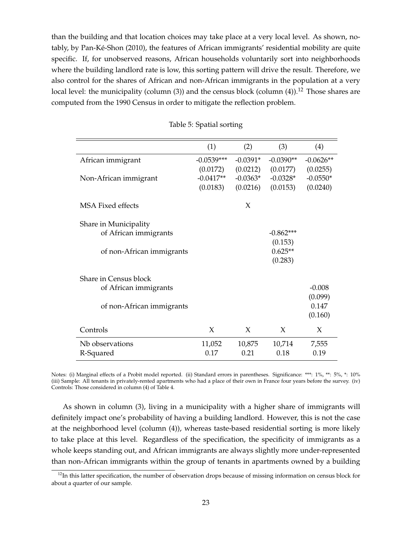than the building and that location choices may take place at a very local level. As shown, notably, by Pan-Ké-Shon (2010), the features of African immigrants' residential mobility are quite specific. If, for unobserved reasons, African households voluntarily sort into neighborhoods where the building landlord rate is low, this sorting pattern will drive the result. Therefore, we also control for the shares of African and non-African immigrants in the population at a very local level: the municipality (column  $(3)$ ) and the census block (column  $(4)$ ).<sup>12</sup> Those shares are computed from the 1990 Census in order to mitigate the reflection problem.

|                           | (1)          | (2)        | (3)         | (4)         |
|---------------------------|--------------|------------|-------------|-------------|
| African immigrant         | $-0.0539***$ | $-0.0391*$ | $-0.0390**$ | $-0.0626**$ |
|                           | (0.0172)     | (0.0212)   | (0.0177)    | (0.0255)    |
| Non-African immigrant     | $-0.0417**$  | $-0.0363*$ | $-0.0328*$  | $-0.0550*$  |
|                           | (0.0183)     | (0.0216)   | (0.0153)    | (0.0240)    |
| <b>MSA Fixed effects</b>  |              | X          |             |             |
| Share in Municipality     |              |            |             |             |
| of African immigrants     |              |            | $-0.862***$ |             |
|                           |              |            | (0.153)     |             |
| of non-African immigrants |              |            | $0.625**$   |             |
|                           |              |            | (0.283)     |             |
|                           |              |            |             |             |
| Share in Census block     |              |            |             |             |
| of African immigrants     |              |            |             | $-0.008$    |
|                           |              |            |             | (0.099)     |
| of non-African immigrants |              |            |             | 0.147       |
|                           |              |            |             | (0.160)     |
| Controls                  | X            | X          | X           | X           |
| Nb observations           | 11,052       | 10,875     | 10,714      | 7,555       |
| R-Squared                 | 0.17         | 0.21       | 0.18        | 0.19        |

Table 5: Spatial sorting

Notes: (i) Marginal effects of a Probit model reported. (ii) Standard errors in parentheses. Significance: \*\*\*: 1%, \*\*: 5%, \*: 10% (iii) Sample: All tenants in privately-rented apartments who had a place of their own in France four years before the survey. (iv) Controls: Those considered in column (4) of Table 4.

As shown in column (3), living in a municipality with a higher share of immigrants will definitely impact one's probability of having a building landlord. However, this is not the case at the neighborhood level (column (4)), whereas taste-based residential sorting is more likely to take place at this level. Regardless of the specification, the specificity of immigrants as a whole keeps standing out, and African immigrants are always slightly more under-represented than non-African immigrants within the group of tenants in apartments owned by a building

 $12$ In this latter specification, the number of observation drops because of missing information on census block for about a quarter of our sample.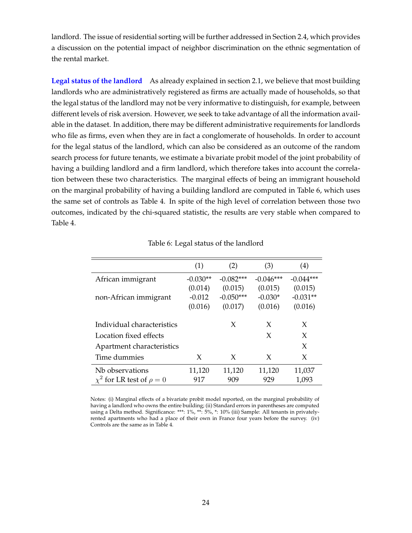landlord. The issue of residential sorting will be further addressed in Section 2.4, which provides a discussion on the potential impact of neighbor discrimination on the ethnic segmentation of the rental market.

Legal status of the landlord As already explained in section 2.1, we believe that most building landlords who are administratively registered as firms are actually made of households, so that the legal status of the landlord may not be very informative to distinguish, for example, between different levels of risk aversion. However, we seek to take advantage of all the information available in the dataset. In addition, there may be different administrative requirements for landlords who file as firms, even when they are in fact a conglomerate of households. In order to account for the legal status of the landlord, which can also be considered as an outcome of the random search process for future tenants, we estimate a bivariate probit model of the joint probability of having a building landlord and a firm landlord, which therefore takes into account the correlation between these two characteristics. The marginal effects of being an immigrant household on the marginal probability of having a building landlord are computed in Table 6, which uses the same set of controls as Table 4. In spite of the high level of correlation between those two outcomes, indicated by the chi-squared statistic, the results are very stable when compared to Table 4.

|                                    | (1)        | (2)         | (3)         | (4)         |
|------------------------------------|------------|-------------|-------------|-------------|
| African immigrant                  | $-0.030**$ | $-0.082***$ | $-0.046***$ | $-0.044***$ |
|                                    | (0.014)    | (0.015)     | (0.015)     | (0.015)     |
| non-African immigrant              | $-0.012$   | $-0.050***$ | $-0.030*$   | $-0.031**$  |
|                                    | (0.016)    | (0.017)     | (0.016)     | (0.016)     |
| Individual characteristics         |            | X           | X           | X           |
| Location fixed effects             |            |             | X           | X           |
| Apartment characteristics          |            |             |             | X           |
| Time dummies                       | X          | X           | X           | X           |
| Nb observations                    | 11,120     | 11,120      | 11,120      | 11,037      |
| $\chi^2$ for LR test of $\rho = 0$ | 917        | 909         | 929         | 1,093       |

Table 6: Legal status of the landlord

Notes: (i) Marginal effects of a bivariate probit model reported, on the marginal probability of having a landlord who owns the entire building; (ii) Standard errors in parentheses are computed using a Delta method. Significance: \*\*\*: 1%, \*\*: 5%, \*: 10% (iii) Sample: All tenants in privatelyrented apartments who had a place of their own in France four years before the survey. (iv) Controls are the same as in Table 4.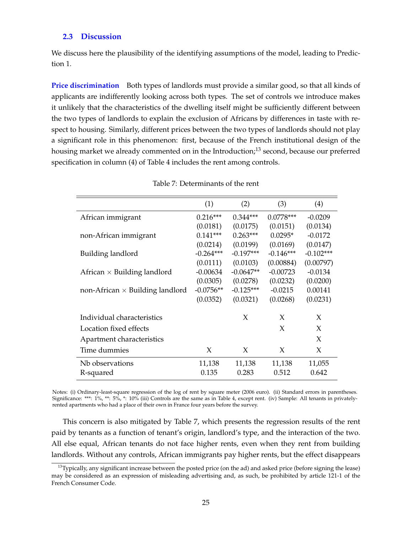#### **2.3 Discussion**

We discuss here the plausibility of the identifying assumptions of the model, leading to Prediction 1.

**Price discrimination** Both types of landlords must provide a similar good, so that all kinds of applicants are indifferently looking across both types. The set of controls we introduce makes it unlikely that the characteristics of the dwelling itself might be sufficiently different between the two types of landlords to explain the exclusion of Africans by differences in taste with respect to housing. Similarly, different prices between the two types of landlords should not play a significant role in this phenomenon: first, because of the French institutional design of the housing market we already commented on in the Introduction;<sup>13</sup> second, because our preferred specification in column (4) of Table 4 includes the rent among controls.

|                                        | (1)         | (2)         | (3)         | (4)         |
|----------------------------------------|-------------|-------------|-------------|-------------|
| African immigrant                      | $0.216***$  | $0.344***$  | $0.0778***$ | $-0.0209$   |
|                                        | (0.0181)    | (0.0175)    | (0.0151)    | (0.0134)    |
| non-African immigrant                  | $0.141***$  | $0.263***$  | $0.0295*$   | $-0.0172$   |
|                                        | (0.0214)    | (0.0199)    | (0.0169)    | (0.0147)    |
| Building landlord                      | $-0.264***$ | $-0.197***$ | $-0.146***$ | $-0.102***$ |
|                                        | (0.0111)    | (0.0103)    | (0.00884)   | (0.00797)   |
| African $\times$ Building landlord     | $-0.00634$  | $-0.0647**$ | $-0.00723$  | $-0.0134$   |
|                                        | (0.0305)    | (0.0278)    | (0.0232)    | (0.0200)    |
| non-African $\times$ Building landlord | $-0.0756**$ | $-0.125***$ | $-0.0215$   | 0.00141     |
|                                        | (0.0352)    | (0.0321)    | (0.0268)    | (0.0231)    |
|                                        |             |             |             |             |
| Individual characteristics             |             | X           | X           | X           |
| Location fixed effects                 |             |             | X           | X           |
| Apartment characteristics              |             |             |             | X           |
| Time dummies                           | X           | X           | X           | X           |
| Nb observations                        | 11,138      | 11,138      | 11,138      | 11,055      |
| R-squared                              | 0.135       | 0.283       | 0.512       | 0.642       |
|                                        |             |             |             |             |

Table 7: Determinants of the rent

Notes: (i) Ordinary-least-square regression of the log of rent by square meter (2006 euro). (ii) Standard errors in parentheses. Significance: \*\*\*: 1%, \*\*: 5%, \*: 10% (iii) Controls are the same as in Table 4, except rent. (iv) Sample: All tenants in privatelyrented apartments who had a place of their own in France four years before the survey.

This concern is also mitigated by Table 7, which presents the regression results of the rent paid by tenants as a function of tenant's origin, landlord's type, and the interaction of the two. All else equal, African tenants do not face higher rents, even when they rent from building landlords. Without any controls, African immigrants pay higher rents, but the effect disappears

 $13$ Typically, any significant increase between the posted price (on the ad) and asked price (before signing the lease) may be considered as an expression of misleading advertising and, as such, be prohibited by article 121-1 of the French Consumer Code.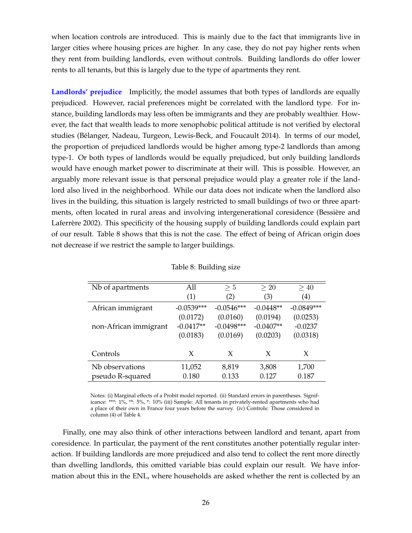when location controls are introduced. This is mainly due to the fact that immigrants live in larger cities where housing prices are higher. In any case, they do not pay higher rents when they rent from building landlords, even without controls. Building landlords do offer lower rents to all tenants, but this is largely due to the type of apartments they rent.

**Landlords' prejudice** Implicitly, the model assumes that both types of landlords are equally prejudiced. However, racial preferences might be correlated with the landlord type. For instance, building landlords may less often be immigrants and they are probably wealthier. However, the fact that wealth leads to more xenophobic political attitude is not verified by electoral studies (Belanger, Nadeau, Turgeon, Lewis-Beck, and Foucault 2014). In terms of our model, ´ the proportion of prejudiced landlords would be higher among type-2 landlords than among type-1. Or both types of landlords would be equally prejudiced, but only building landlords would have enough market power to discriminate at their will. This is possible. However, an arguably more relevant issue is that personal prejudice would play a greater role if the landlord also lived in the neighborhood. While our data does not indicate when the landlord also lives in the building, this situation is largely restricted to small buildings of two or three apartments, often located in rural areas and involving intergenerational coresidence (Bessiere and ` Laferrere 2002). This specificity of the housing supply of building landlords could explain part of our result. Table 8 shows that this is not the case. The effect of being of African origin does not decrease if we restrict the sample to larger buildings.

| Nb of apartments      | All          | > 5          | >20         | >40          |
|-----------------------|--------------|--------------|-------------|--------------|
|                       | (1)          | (2)          | (3)         | (4)          |
| African immigrant     | $-0.0539***$ | $-0.0546***$ | $-0.0448**$ | $-0.0849***$ |
|                       | (0.0172)     | (0.0160)     | (0.0194)    | (0.0253)     |
| non-African immigrant | $-0.0417**$  | $-0.0498***$ | $-0.0407**$ | $-0.0237$    |
|                       | (0.0183)     | (0.0169)     | (0.0203)    | (0.0318)     |
| Controls              | X            | X            | X           | X            |
| Nb observations       | 11,052       | 8,819        | 3,808       | 1,700        |
| pseudo R-squared      | 0.180        | 0.133        | 0.127       | 0.187        |

#### Table 8: Building size

Notes: (i) Marginal effects of a Probit model reported. (ii) Standard errors in parentheses. Significance: \*\*\*: 1%, \*\*: 5%, \*: 10% (iii) Sample: All tenants in privately-rented apartments who had a place of their own in France four years before the survey. (iv) Controls: Those considered in column (4) of Table 4.

Finally, one may also think of other interactions between landlord and tenant, apart from coresidence. In particular, the payment of the rent constitutes another potentially regular interaction. If building landlords are more prejudiced and also tend to collect the rent more directly than dwelling landlords, this omitted variable bias could explain our result. We have information about this in the ENL, where households are asked whether the rent is collected by an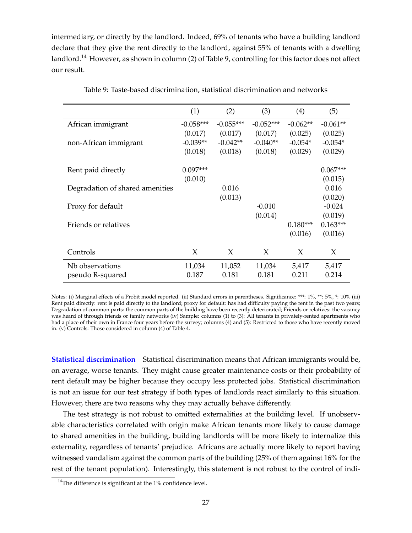intermediary, or directly by the landlord. Indeed, 69% of tenants who have a building landlord declare that they give the rent directly to the landlord, against 55% of tenants with a dwelling landlord.<sup>14</sup> However, as shown in column (2) of Table 9, controlling for this factor does not affect our result.

|                                 | (1)         | (2)         | (3)         | (4)        | (5)        |
|---------------------------------|-------------|-------------|-------------|------------|------------|
| African immigrant               | $-0.058***$ | $-0.055***$ | $-0.052***$ | $-0.062**$ | $-0.061**$ |
|                                 | (0.017)     | (0.017)     | (0.017)     | (0.025)    | (0.025)    |
| non-African immigrant           | $-0.039**$  | $-0.042**$  | $-0.040**$  | $-0.054*$  | $-0.054*$  |
|                                 | (0.018)     | (0.018)     | (0.018)     | (0.029)    | (0.029)    |
|                                 |             |             |             |            |            |
| Rent paid directly              | $0.097***$  |             |             |            | $0.067***$ |
|                                 | (0.010)     |             |             |            | (0.015)    |
| Degradation of shared amenities |             | 0.016       |             |            | 0.016      |
|                                 |             | (0.013)     |             |            | (0.020)    |
| Proxy for default               |             |             | $-0.010$    |            | $-0.024$   |
|                                 |             |             | (0.014)     |            | (0.019)    |
| Friends or relatives            |             |             |             | $0.180***$ | $0.163***$ |
|                                 |             |             |             | (0.016)    | (0.016)    |
|                                 |             |             |             |            |            |
| Controls                        | X           | X           | X           | X          | X          |
| Nb observations                 | 11,034      | 11,052      | 11,034      | 5,417      | 5,417      |
| pseudo R-squared                | 0.187       | 0.181       | 0.181       | 0.211      | 0.214      |
|                                 |             |             |             |            |            |

Table 9: Taste-based discrimination, statistical discrimination and networks

Notes: (i) Marginal effects of a Probit model reported. (ii) Standard errors in parentheses. Significance: \*\*\*: 1%, \*\*: 5%, \*: 10% (iii) Rent paid directly: rent is paid directly to the landlord; proxy for default: has had difficulty paying the rent in the past two years; Degradation of common parts: the common parts of the building have been recently deteriorated; Friends or relatives: the vacancy was heard of through friends or family networks (iv) Sample: columns (1) to (3): All tenants in privately-rented apartments who had a place of their own in France four years before the survey; columns (4) and (5): Restricted to those who have recently moved in. (v) Controls: Those considered in column (4) of Table 4.

**Statistical discrimination** Statistical discrimination means that African immigrants would be, on average, worse tenants. They might cause greater maintenance costs or their probability of rent default may be higher because they occupy less protected jobs. Statistical discrimination is not an issue for our test strategy if both types of landlords react similarly to this situation. However, there are two reasons why they may actually behave differently.

The test strategy is not robust to omitted externalities at the building level. If unobservable characteristics correlated with origin make African tenants more likely to cause damage to shared amenities in the building, building landlords will be more likely to internalize this externality, regardless of tenants' prejudice. Africans are actually more likely to report having witnessed vandalism against the common parts of the building (25% of them against 16% for the rest of the tenant population). Interestingly, this statement is not robust to the control of indi-

<sup>&</sup>lt;sup>14</sup>The difference is significant at the 1% confidence level.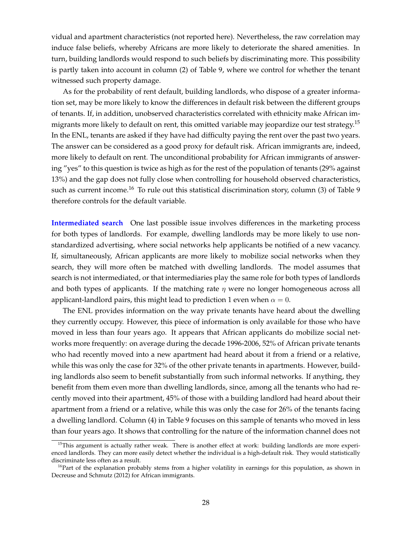vidual and apartment characteristics (not reported here). Nevertheless, the raw correlation may induce false beliefs, whereby Africans are more likely to deteriorate the shared amenities. In turn, building landlords would respond to such beliefs by discriminating more. This possibility is partly taken into account in column (2) of Table 9, where we control for whether the tenant witnessed such property damage.

As for the probability of rent default, building landlords, who dispose of a greater information set, may be more likely to know the differences in default risk between the different groups of tenants. If, in addition, unobserved characteristics correlated with ethnicity make African immigrants more likely to default on rent, this omitted variable may jeopardize our test strategy.<sup>15</sup> In the ENL, tenants are asked if they have had difficulty paying the rent over the past two years. The answer can be considered as a good proxy for default risk. African immigrants are, indeed, more likely to default on rent. The unconditional probability for African immigrants of answering "yes" to this question is twice as high as for the rest of the population of tenants (29% against 13%) and the gap does not fully close when controlling for household observed characteristics, such as current income.<sup>16</sup> To rule out this statistical discrimination story, column (3) of Table 9 therefore controls for the default variable.

**Intermediated search** One last possible issue involves differences in the marketing process for both types of landlords. For example, dwelling landlords may be more likely to use nonstandardized advertising, where social networks help applicants be notified of a new vacancy. If, simultaneously, African applicants are more likely to mobilize social networks when they search, they will more often be matched with dwelling landlords. The model assumes that search is not intermediated, or that intermediaries play the same role for both types of landlords and both types of applicants. If the matching rate  $\eta$  were no longer homogeneous across all applicant-landlord pairs, this might lead to prediction 1 even when  $\alpha = 0$ .

The ENL provides information on the way private tenants have heard about the dwelling they currently occupy. However, this piece of information is only available for those who have moved in less than four years ago. It appears that African applicants do mobilize social networks more frequently: on average during the decade 1996-2006, 52% of African private tenants who had recently moved into a new apartment had heard about it from a friend or a relative, while this was only the case for 32% of the other private tenants in apartments. However, building landlords also seem to benefit substantially from such informal networks. If anything, they benefit from them even more than dwelling landlords, since, among all the tenants who had recently moved into their apartment, 45% of those with a building landlord had heard about their apartment from a friend or a relative, while this was only the case for 26% of the tenants facing a dwelling landlord. Column (4) in Table 9 focuses on this sample of tenants who moved in less than four years ago. It shows that controlling for the nature of the information channel does not

<sup>&</sup>lt;sup>15</sup>This argument is actually rather weak. There is another effect at work: building landlords are more experienced landlords. They can more easily detect whether the individual is a high-default risk. They would statistically discriminate less often as a result.

 $16$ Part of the explanation probably stems from a higher volatility in earnings for this population, as shown in Decreuse and Schmutz (2012) for African immigrants.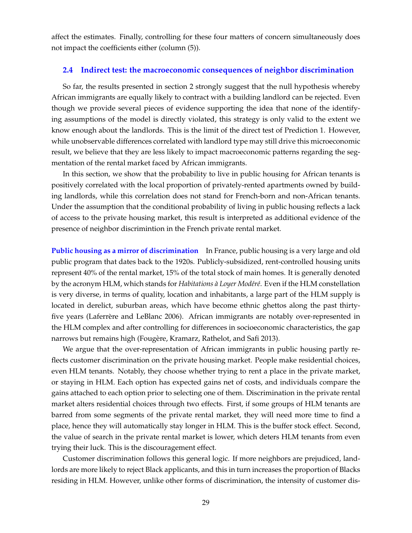affect the estimates. Finally, controlling for these four matters of concern simultaneously does not impact the coefficients either (column (5)).

#### **2.4 Indirect test: the macroeconomic consequences of neighbor discrimination**

So far, the results presented in section 2 strongly suggest that the null hypothesis whereby African immigrants are equally likely to contract with a building landlord can be rejected. Even though we provide several pieces of evidence supporting the idea that none of the identifying assumptions of the model is directly violated, this strategy is only valid to the extent we know enough about the landlords. This is the limit of the direct test of Prediction 1. However, while unobservable differences correlated with landlord type may still drive this microeconomic result, we believe that they are less likely to impact macroeconomic patterns regarding the segmentation of the rental market faced by African immigrants.

In this section, we show that the probability to live in public housing for African tenants is positively correlated with the local proportion of privately-rented apartments owned by building landlords, while this correlation does not stand for French-born and non-African tenants. Under the assumption that the conditional probability of living in public housing reflects a lack of access to the private housing market, this result is interpreted as additional evidence of the presence of neighbor discrimintion in the French private rental market.

**Public housing as a mirror of discrimination** In France, public housing is a very large and old public program that dates back to the 1920s. Publicly-subsidized, rent-controlled housing units represent 40% of the rental market, 15% of the total stock of main homes. It is generally denoted by the acronym HLM, which stands for *Habitations à Loyer Modéré*. Even if the HLM constellation is very diverse, in terms of quality, location and inhabitants, a large part of the HLM supply is located in derelict, suburban areas, which have become ethnic ghettos along the past thirtyfive years (Laferrère and LeBlanc 2006). African immigrants are notably over-represented in the HLM complex and after controlling for differences in socioeconomic characteristics, the gap narrows but remains high (Fougère, Kramarz, Rathelot, and Safi 2013).

We argue that the over-representation of African immigrants in public housing partly reflects customer discrimination on the private housing market. People make residential choices, even HLM tenants. Notably, they choose whether trying to rent a place in the private market, or staying in HLM. Each option has expected gains net of costs, and individuals compare the gains attached to each option prior to selecting one of them. Discrimination in the private rental market alters residential choices through two effects. First, if some groups of HLM tenants are barred from some segments of the private rental market, they will need more time to find a place, hence they will automatically stay longer in HLM. This is the buffer stock effect. Second, the value of search in the private rental market is lower, which deters HLM tenants from even trying their luck. This is the discouragement effect.

Customer discrimination follows this general logic. If more neighbors are prejudiced, landlords are more likely to reject Black applicants, and this in turn increases the proportion of Blacks residing in HLM. However, unlike other forms of discrimination, the intensity of customer dis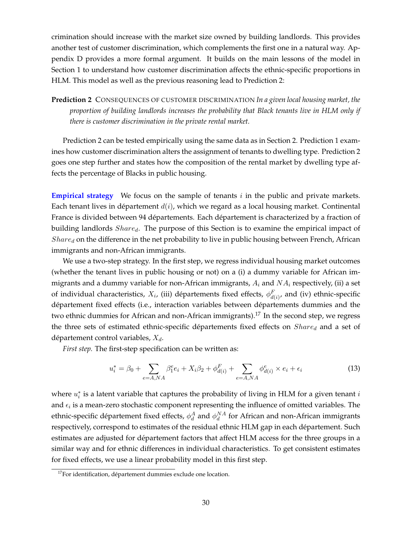crimination should increase with the market size owned by building landlords. This provides another test of customer discrimination, which complements the first one in a natural way. Appendix D provides a more formal argument. It builds on the main lessons of the model in Section 1 to understand how customer discrimination affects the ethnic-specific proportions in HLM. This model as well as the previous reasoning lead to Prediction 2:

**Prediction 2** CONSEQUENCES OF CUSTOMER DISCRIMINATION *In a given local housing market, the proportion of building landlords increases the probability that Black tenants live in HLM only if there is customer discrimination in the private rental market.*

Prediction 2 can be tested empirically using the same data as in Section 2. Prediction 1 examines how customer discrimination alters the assignment of tenants to dwelling type. Prediction 2 goes one step further and states how the composition of the rental market by dwelling type affects the percentage of Blacks in public housing.

**Empirical strategy** We focus on the sample of tenants *i* in the public and private markets. Each tenant lives in département  $d(i)$ , which we regard as a local housing market. Continental France is divided between 94 départements. Each département is characterized by a fraction of building landlords  $Share_d$ . The purpose of this Section is to examine the empirical impact of  $Share<sub>d</sub>$  on the difference in the net probability to live in public housing between French, African immigrants and non-African immigrants.

We use a two-step strategy. In the first step, we regress individual housing market outcomes (whether the tenant lives in public housing or not) on a (i) a dummy variable for African immigrants and a dummy variable for non-African immigrants,  $A_i$  and  $NA_i$  respectively, (ii) a set of individual characteristics,  $X_i$ , (iii) départements fixed effects,  $\phi_{d(i)}^F$ , and (iv) ethnic-specific département fixed effects (i.e., interaction variables between départements dummies and the two ethnic dummies for African and non-African immigrants).<sup>17</sup> In the second step, we regress the three sets of estimated ethnic-specific départements fixed effects on  $Share_d$  and a set of département control variables,  $X_d$ .

*First step.* The first-step specification can be written as:

$$
u_i^* = \beta_0 + \sum_{e=A, NA} \beta_1^e e_i + X_i \beta_2 + \phi_{d(i)}^F + \sum_{e=A, NA} \phi_{d(i)}^e \times e_i + \epsilon_i
$$
 (13)

where  $u_i^*$  is a latent variable that captures the probability of living in HLM for a given tenant  $i$ and  $\epsilon_i$  is a mean-zero stochastic component representing the influence of omitted variables. The ethnic-specific département fixed effects,  $\phi_d^A$  and  $\phi_d^{NA}$  for African and non-African immigrants respectively, correspond to estimates of the residual ethnic HLM gap in each departement. Such ´ estimates are adjusted for département factors that affect HLM access for the three groups in a similar way and for ethnic differences in individual characteristics. To get consistent estimates for fixed effects, we use a linear probability model in this first step.

 $17$ For identification, département dummies exclude one location.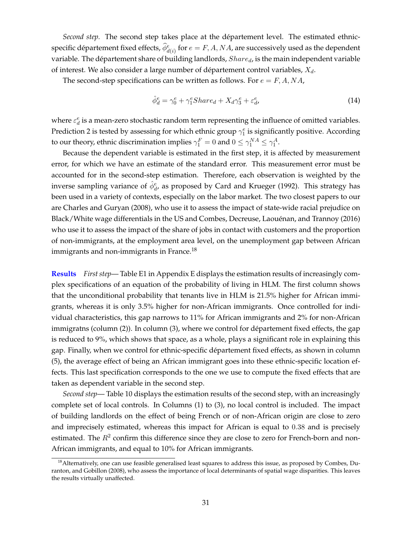*Second step.* The second step takes place at the département level. The estimated ethnicspecific département fixed effects,  $\widehat{\phi}_{d(i)}^e$  for  $e=F,A,NA$ , are successively used as the dependent variable. The département share of building landlords,  $Share_d$ , is the main independent variable of interest. We also consider a large number of département control variables,  $X_d$ .

The second-step specifications can be written as follows. For  $e = F, A, NA$ ,

$$
\hat{\phi}_d^e = \gamma_0^e + \gamma_1^e Share_d + X_d\gamma_3^e + \varepsilon_d^e,\tag{14}
$$

where  $\varepsilon_d^e$  is a mean-zero stochastic random term representing the influence of omitted variables. Prediction 2 is tested by assessing for which ethnic group  $\gamma_1^e$  is significantly positive. According to our theory, ethnic discrimination implies  $\gamma_1^F = 0$  and  $0 \leq \gamma_1^{NA} \leq \gamma_1^A$ .

Because the dependent variable is estimated in the first step, it is affected by measurement error, for which we have an estimate of the standard error. This measurement error must be accounted for in the second-step estimation. Therefore, each observation is weighted by the inverse sampling variance of  $\hat{\phi}^e_d$ , as proposed by Card and Krueger (1992). This strategy has been used in a variety of contexts, especially on the labor market. The two closest papers to our are Charles and Guryan (2008), who use it to assess the impact of state-wide racial prejudice on Black/White wage differentials in the US and Combes, Decreuse, Laouenan, and Trannoy (2016) ´ who use it to assess the impact of the share of jobs in contact with customers and the proportion of non-immigrants, at the employment area level, on the unemployment gap between African immigrants and non-immigrants in France.<sup>18</sup>

**Results** *First step*— Table E1 in Appendix E displays the estimation results of increasingly complex specifications of an equation of the probability of living in HLM. The first column shows that the unconditional probability that tenants live in HLM is 21.5% higher for African immigrants, whereas it is only 3.5% higher for non-African immigrants. Once controlled for individual characteristics, this gap narrows to 11% for African immigrants and 2% for non-African immigratns (column (2)). In column (3), where we control for département fixed effects, the gap is reduced to 9%, which shows that space, as a whole, plays a significant role in explaining this gap. Finally, when we control for ethnic-specific département fixed effects, as shown in column (5), the average effect of being an African immigrant goes into these ethnic-specific location effects. This last specification corresponds to the one we use to compute the fixed effects that are taken as dependent variable in the second step.

*Second step*— Table 10 displays the estimation results of the second step, with an increasingly complete set of local controls. In Columns (1) to (3), no local control is included. The impact of building landlords on the effect of being French or of non-African origin are close to zero and imprecisely estimated, whereas this impact for African is equal to 0.38 and is precisely estimated. The  $R^2$  confirm this difference since they are close to zero for French-born and non-African immigrants, and equal to 10% for African immigrants.

<sup>&</sup>lt;sup>18</sup> Alternatively, one can use feasible generalised least squares to address this issue, as proposed by Combes, Duranton, and Gobillon (2008), who assess the importance of local determinants of spatial wage disparities. This leaves the results virtually unaffected.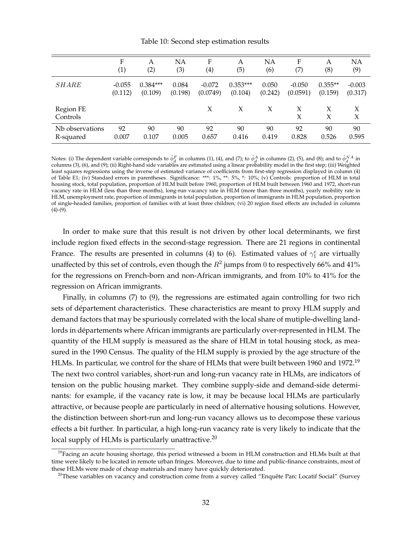#### Table 10: Second step estimation results

|                       | F                | А          | NΑ      | F                 | А          | <b>NA</b> | F        | А         | <b>NA</b> |
|-----------------------|------------------|------------|---------|-------------------|------------|-----------|----------|-----------|-----------|
|                       | $\left(1\right)$ | (2)        | (3)     | $\left( 4\right)$ | (5)        | (6)       | (7)      | (8)       | (9)       |
| <b>SHARE</b>          | $-0.055$         | $0.384***$ | 0.084   | $-0.072$          | $0.353***$ | 0.050     | $-0.050$ | $0.355**$ | $-0.003$  |
|                       | (0.112)          | (0.109)    | (0.198) | (0.0749)          | (0.104)    | (0.242)   | (0.0591) | (0.159)   | (0.317)   |
| Region FE<br>Controls |                  |            |         | X                 | X          | X         | X<br>X   | X         | X<br>X    |
| Nb observations       | 92               | 90         | 90      | 92                | 90         | 90        | 92       | 90        | 90        |
| R-squared             | 0.007            | 0.107      | 0.005   | 0.657             | 0.416      | 0.419     | 0.828    | 0.526     | 0.595     |

Notes: (i) The dependent variable corresponds to  $\hat{\phi}_d^F$  in columns (1), (4), and (7); to  $\hat{\phi}_d^A$  in columns (2), (5), and (8); and to  $\hat{\phi}_d^{NA}$  in columns (3), (6), and (9); (ii) Right-hand side variables are estimated using a linear probability model in the first step; (iii) Weighted least squares regressions using the inverse of estimated variance of coefficients from first-step regression displayed in column (4) of Table E1; (iv) Standard errors in parentheses. Significance: \*\*\*: 1%, \*\*: 5%, \*: 10%; (v) Controls: proportion of HLM in total housing stock, total population, proportion of HLM built before 1960, proportion of HLM built between 1960 and 1972, short-run vacancy rate in HLM (less than three months), long-run vacancy rate in HLM (more than three months), yearly mobility rate in HLM, unemployment rate, proportion of immigrants in total population, proportion of immigrants in HLM population, proportion of single-headed families, proportion of families with at least three children; (vi) 20 region fixed effects are included in columns  $(4)-(9)$ .

In order to make sure that this result is not driven by other local determinants, we first include region fixed effects in the second-stage regression. There are 21 regions in continental France. The results are presented in columns (4) to (6). Estimated values of  $\gamma_1^e$  are virtually unaffected by this set of controls, even though the  $R^2$  jumps from 0 to respectively 66% and 41% for the regressions on French-born and non-African immigrants, and from 10% to 41% for the regression on African immigrants.

Finally, in columns (7) to (9), the regressions are estimated again controlling for two rich sets of departement characteristics. These characteristics are meant to proxy HLM supply and ´ demand factors that may be spuriously correlated with the local share of mutiple-dwelling landlords in départements where African immigrants are particularly over-represented in HLM. The quantity of the HLM supply is measured as the share of HLM in total housing stock, as measured in the 1990 Census. The quality of the HLM supply is proxied by the age structure of the HLMs. In particular, we control for the share of HLMs that were built between 1960 and 1972.<sup>19</sup> The next two control variables, short-run and long-run vacancy rate in HLMs, are indicators of tension on the public housing market. They combine supply-side and demand-side determinants: for example, if the vacancy rate is low, it may be because local HLMs are particularly attractive, or because people are particularly in need of alternative housing solutions. However, the distinction between short-run and long-run vacancy allows us to decompose these various effects a bit further. In particular, a high long-run vacancy rate is very likely to indicate that the local supply of HLMs is particularly unattractive.<sup>20</sup>

 $19$ Facing an acute housing shortage, this period witnessed a boom in HLM construction and HLMs built at that time were likely to be located in remote urban fringes. Moreover, due to time and public-finance constraints, most of these HLMs were made of cheap materials and many have quickly deteriorated.

<sup>&</sup>lt;sup>20</sup>These variables on vacancy and construction come from a survey called "Enquête Parc Locatif Social" (Survey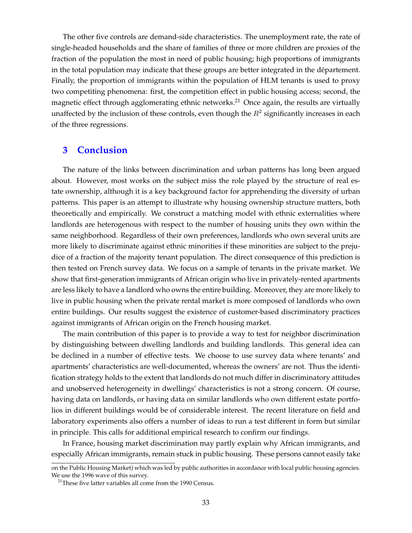The other five controls are demand-side characteristics. The unemployment rate, the rate of single-headed households and the share of families of three or more children are proxies of the fraction of the population the most in need of public housing; high proportions of immigrants in the total population may indicate that these groups are better integrated in the département. Finally, the proportion of immigrants within the population of HLM tenants is used to proxy two competiting phenomena: first, the competition effect in public housing access; second, the magnetic effect through agglomerating ethnic networks.<sup>21</sup> Once again, the results are virtually unaffected by the inclusion of these controls, even though the  $R^2$  significantly increases in each of the three regressions.

### **3 Conclusion**

The nature of the links between discrimination and urban patterns has long been argued about. However, most works on the subject miss the role played by the structure of real estate ownership, although it is a key background factor for apprehending the diversity of urban patterns. This paper is an attempt to illustrate why housing ownership structure matters, both theoretically and empirically. We construct a matching model with ethnic externalities where landlords are heterogenous with respect to the number of housing units they own within the same neighborhood. Regardless of their own preferences, landlords who own several units are more likely to discriminate against ethnic minorities if these minorities are subject to the prejudice of a fraction of the majority tenant population. The direct consequence of this prediction is then tested on French survey data. We focus on a sample of tenants in the private market. We show that first-generation immigrants of African origin who live in privately-rented apartments are less likely to have a landlord who owns the entire building. Moreover, they are more likely to live in public housing when the private rental market is more composed of landlords who own entire buildings. Our results suggest the existence of customer-based discriminatory practices against immigrants of African origin on the French housing market.

The main contribution of this paper is to provide a way to test for neighbor discrimination by distinguishing between dwelling landlords and building landlords. This general idea can be declined in a number of effective tests. We choose to use survey data where tenants' and apartments' characteristics are well-documented, whereas the owners' are not. Thus the identification strategy holds to the extent that landlords do not much differ in discriminatory attitudes and unobserved heterogeneity in dwellings' characteristics is not a strong concern. Of course, having data on landlords, or having data on similar landlords who own different estate portfolios in different buildings would be of considerable interest. The recent literature on field and laboratory experiments also offers a number of ideas to run a test different in form but similar in principle. This calls for additional empirical research to confirm our findings.

In France, housing market discrimination may partly explain why African immigrants, and especially African immigrants, remain stuck in public housing. These persons cannot easily take

on the Public Housing Market) which was led by public authorities in accordance with local public housing agencies. We use the 1996 wave of this survey.

<sup>&</sup>lt;sup>21</sup>These five latter variables all come from the 1990 Census.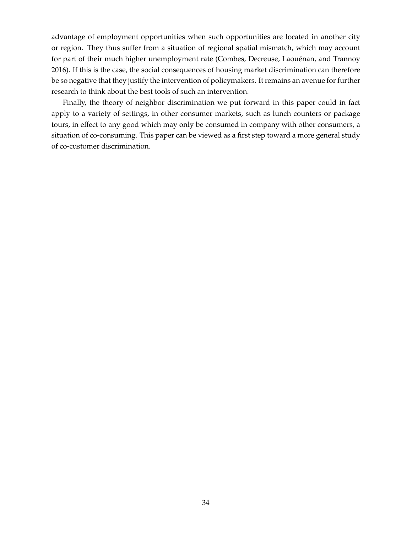advantage of employment opportunities when such opportunities are located in another city or region. They thus suffer from a situation of regional spatial mismatch, which may account for part of their much higher unemployment rate (Combes, Decreuse, Laouénan, and Trannoy 2016). If this is the case, the social consequences of housing market discrimination can therefore be so negative that they justify the intervention of policymakers. It remains an avenue for further research to think about the best tools of such an intervention.

Finally, the theory of neighbor discrimination we put forward in this paper could in fact apply to a variety of settings, in other consumer markets, such as lunch counters or package tours, in effect to any good which may only be consumed in company with other consumers, a situation of co-consuming. This paper can be viewed as a first step toward a more general study of co-customer discrimination.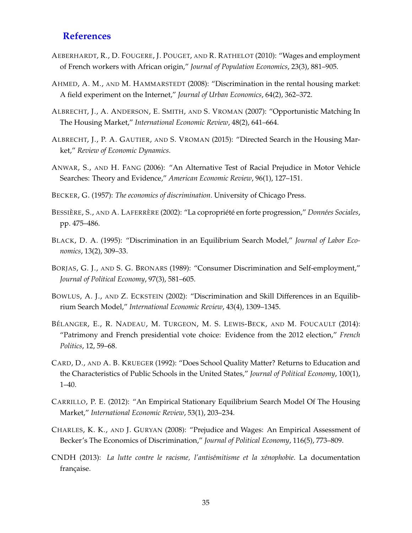### **References**

- AEBERHARDT, R., D. FOUGERE, J. POUGET, AND R. RATHELOT (2010): "Wages and employment of French workers with African origin," *Journal of Population Economics*, 23(3), 881–905.
- AHMED, A. M., AND M. HAMMARSTEDT (2008): "Discrimination in the rental housing market: A field experiment on the Internet," *Journal of Urban Economics*, 64(2), 362–372.
- ALBRECHT, J., A. ANDERSON, E. SMITH, AND S. VROMAN (2007): "Opportunistic Matching In The Housing Market," *International Economic Review*, 48(2), 641–664.
- ALBRECHT, J., P. A. GAUTIER, AND S. VROMAN (2015): "Directed Search in the Housing Market," *Review of Economic Dynamics*.
- ANWAR, S., AND H. FANG (2006): "An Alternative Test of Racial Prejudice in Motor Vehicle Searches: Theory and Evidence," *American Economic Review*, 96(1), 127–151.
- BECKER, G. (1957): *The economics of discrimination*. University of Chicago Press.
- BESSIÈRE, S., AND A. LAFERRÈRE (2002): "La copropriété en forte progression," Données Sociales, pp. 475–486.
- BLACK, D. A. (1995): "Discrimination in an Equilibrium Search Model," *Journal of Labor Economics*, 13(2), 309–33.
- BORJAS, G. J., AND S. G. BRONARS (1989): "Consumer Discrimination and Self-employment," *Journal of Political Economy*, 97(3), 581–605.
- BOWLUS, A. J., AND Z. ECKSTEIN (2002): "Discrimination and Skill Differences in an Equilibrium Search Model," *International Economic Review*, 43(4), 1309–1345.
- BÉLANGER, E., R. NADEAU, M. TURGEON, M. S. LEWIS-BECK, AND M. FOUCAULT (2014): "Patrimony and French presidential vote choice: Evidence from the 2012 election," *French Politics*, 12, 59–68.
- CARD, D., AND A. B. KRUEGER (1992): "Does School Quality Matter? Returns to Education and the Characteristics of Public Schools in the United States," *Journal of Political Economy*, 100(1), 1–40.
- CARRILLO, P. E. (2012): "An Empirical Stationary Equilibrium Search Model Of The Housing Market," *International Economic Review*, 53(1), 203–234.
- CHARLES, K. K., AND J. GURYAN (2008): "Prejudice and Wages: An Empirical Assessment of Becker's The Economics of Discrimination," *Journal of Political Economy*, 116(5), 773–809.
- CNDH (2013): *La lutte contre le racisme, l'antis´emitisme et la x´enophobie*. La documentation française.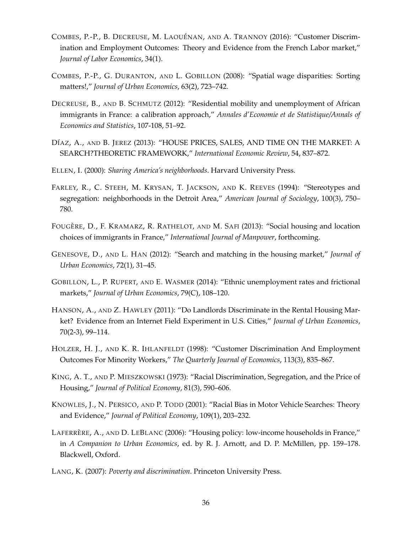- COMBES, P.-P., B. DECREUSE, M. LAOUÉNAN, AND A. TRANNOY (2016): "Customer Discrimination and Employment Outcomes: Theory and Evidence from the French Labor market," *Journal of Labor Economics*, 34(1).
- COMBES, P.-P., G. DURANTON, AND L. GOBILLON (2008): "Spatial wage disparities: Sorting matters!," *Journal of Urban Economics*, 63(2), 723–742.
- DECREUSE, B., AND B. SCHMUTZ (2012): "Residential mobility and unemployment of African immigrants in France: a calibration approach," *Annales d'Economie et de Statistique/Annals of Economics and Statistics*, 107-108, 51–92.
- DÍAZ, A., AND B. JEREZ (2013): "HOUSE PRICES, SALES, AND TIME ON THE MARKET: A SEARCH?THEORETIC FRAMEWORK," *International Economic Review*, 54, 837–872.
- ELLEN, I. (2000): *Sharing America's neighborhoods*. Harvard University Press.
- FARLEY, R., C. STEEH, M. KRYSAN, T. JACKSON, AND K. REEVES (1994): "Stereotypes and segregation: neighborhoods in the Detroit Area," *American Journal of Sociology*, 100(3), 750– 780.
- FOUGÈRE, D., F. KRAMARZ, R. RATHELOT, AND M. SAFI (2013): "Social housing and location choices of immigrants in France," *International Journal of Manpower*, forthcoming.
- GENESOVE, D., AND L. HAN (2012): "Search and matching in the housing market," *Journal of Urban Economics*, 72(1), 31–45.
- GOBILLON, L., P. RUPERT, AND E. WASMER (2014): "Ethnic unemployment rates and frictional markets," *Journal of Urban Economics*, 79(C), 108–120.
- HANSON, A., AND Z. HAWLEY (2011): "Do Landlords Discriminate in the Rental Housing Market? Evidence from an Internet Field Experiment in U.S. Cities," *Journal of Urban Economics*, 70(2-3), 99–114.
- HOLZER, H. J., AND K. R. IHLANFELDT (1998): "Customer Discrimination And Employment Outcomes For Minority Workers," *The Quarterly Journal of Economics*, 113(3), 835–867.
- KING, A. T., AND P. MIESZKOWSKI (1973): "Racial Discrimination, Segregation, and the Price of Housing," *Journal of Political Economy*, 81(3), 590–606.
- KNOWLES, J., N. PERSICO, AND P. TODD (2001): "Racial Bias in Motor Vehicle Searches: Theory and Evidence," *Journal of Political Economy*, 109(1), 203–232.
- LAFERRÈRE, A., AND D. LEBLANC (2006): "Housing policy: low-income households in France," in *A Companion to Urban Economics*, ed. by R. J. Arnott, and D. P. McMillen, pp. 159–178. Blackwell, Oxford.
- LANG, K. (2007): *Poverty and discrimination*. Princeton University Press.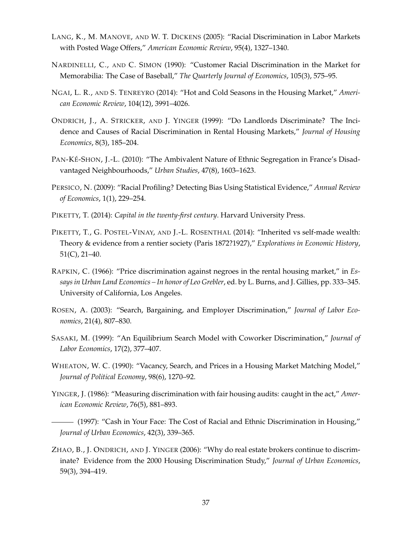- LANG, K., M. MANOVE, AND W. T. DICKENS (2005): "Racial Discrimination in Labor Markets with Posted Wage Offers," *American Economic Review*, 95(4), 1327–1340.
- NARDINELLI, C., AND C. SIMON (1990): "Customer Racial Discrimination in the Market for Memorabilia: The Case of Baseball," *The Quarterly Journal of Economics*, 105(3), 575–95.
- NGAI, L. R., AND S. TENREYRO (2014): "Hot and Cold Seasons in the Housing Market," *American Economic Review*, 104(12), 3991–4026.
- ONDRICH, J., A. STRICKER, AND J. YINGER (1999): "Do Landlords Discriminate? The Incidence and Causes of Racial Discrimination in Rental Housing Markets," *Journal of Housing Economics*, 8(3), 185–204.
- PAN-KÉ-SHON, J.-L. (2010): "The Ambivalent Nature of Ethnic Segregation in France's Disadvantaged Neighbourhoods," *Urban Studies*, 47(8), 1603–1623.
- PERSICO, N. (2009): "Racial Profiling? Detecting Bias Using Statistical Evidence," *Annual Review of Economics*, 1(1), 229–254.
- PIKETTY, T. (2014): *Capital in the twenty-first century*. Harvard University Press.
- PIKETTY, T., G. POSTEL-VINAY, AND J.-L. ROSENTHAL (2014): "Inherited vs self-made wealth: Theory & evidence from a rentier society (Paris 1872?1927)," *Explorations in Economic History*, 51(C), 21–40.
- RAPKIN, C. (1966): "Price discrimination against negroes in the rental housing market," in *Essays in Urban Land Economics – In honor of Leo Grebler*, ed. by L. Burns, and J. Gillies, pp. 333–345. University of California, Los Angeles.
- ROSEN, A. (2003): "Search, Bargaining, and Employer Discrimination," *Journal of Labor Economics*, 21(4), 807–830.
- SASAKI, M. (1999): "An Equilibrium Search Model with Coworker Discrimination," *Journal of Labor Economics*, 17(2), 377–407.
- WHEATON, W. C. (1990): "Vacancy, Search, and Prices in a Housing Market Matching Model," *Journal of Political Economy*, 98(6), 1270–92.
- YINGER, J. (1986): "Measuring discrimination with fair housing audits: caught in the act," *American Economic Review*, 76(5), 881–893.
- (1997): "Cash in Your Face: The Cost of Racial and Ethnic Discrimination in Housing," *Journal of Urban Economics*, 42(3), 339–365.
- ZHAO, B., J. ONDRICH, AND J. YINGER (2006): "Why do real estate brokers continue to discriminate? Evidence from the 2000 Housing Discrimination Study," *Journal of Urban Economics*, 59(3), 394–419.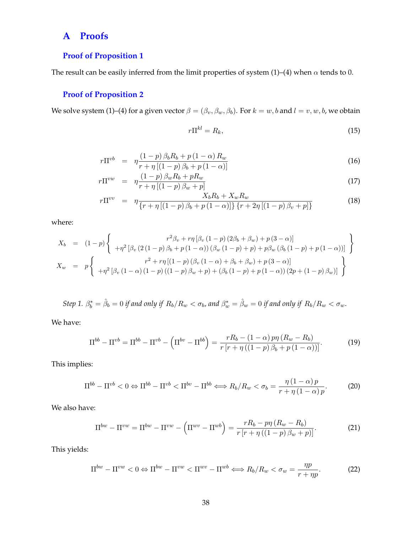# **A Proofs**

### **Proof of Proposition 1**

The result can be easily inferred from the limit properties of system (1)–(4) when  $\alpha$  tends to 0.

### **Proof of Proposition 2**

We solve system (1)–(4) for a given vector  $\beta = (\beta_v, \beta_w, \beta_b)$ . For  $k = w, b$  and  $l = v, w, b$ , we obtain

$$
r\Pi^{kl} = R_k,\tag{15}
$$

$$
r\Pi^{vb} = \eta \frac{(1-p)\,\beta_b R_b + p\,(1-\alpha)\,R_w}{r + \eta\left[(1-p)\,\beta_b + p\,(1-\alpha)\right]}
$$
\n(16)

$$
r\Pi^{vw} = \eta \frac{(1-p)\beta_w R_b + pR_w}{r + \eta [(1-p)\beta_w + p]}
$$
\n(17)

$$
r\Pi^{vv} = \eta \frac{X_b R_b + X_w R_w}{\{r + \eta \left[ (1 - p) \beta_b + p (1 - \alpha) \right] \} \{r + 2\eta \left[ (1 - p) \beta_v + p \right] \}}
$$
(18)

where:

$$
X_b = (1-p)\begin{Bmatrix} r^2\beta_v + r\eta \left[\beta_v (1-p) (2\beta_b + \beta_w) + p (3-\alpha)\right] \\ + \eta^2 \left[\beta_v (2(1-p)\beta_b + p (1-\alpha)) (\beta_w (1-p) + p) + p\beta_w (\beta_b (1-p) + p (1-\alpha))\right] \end{Bmatrix}
$$
  
\n
$$
X_w = p\begin{Bmatrix} r^2 + r\eta \left[ (1-p) (\beta_v (1-\alpha) + \beta_b + \beta_w) + p (3-\alpha) \right] \\ + \eta^2 \left[\beta_v (1-\alpha) (1-p) ((1-p)\beta_w + p) + (\beta_b (1-p) + p (1-\alpha)) (2p + (1-p)\beta_w)\right] \end{Bmatrix}
$$

 $Step~1.$   $\beta_b^* = \hat{\beta}_b = 0$  *if and only if*  $R_b/R_w < \sigma_b$ , and  $\beta_w^* = \hat{\beta}_w = 0$  *if and only if*  $R_b/R_w < \sigma_w$ .

We have:

$$
\Pi^{bb} - \Pi^{vb} = \Pi^{bb} - \Pi^{vb} - \left(\Pi^{bv} - \Pi^{bb}\right) = \frac{rR_b - (1-\alpha)p\eta\left(R_w - R_b\right)}{r\left[r + \eta\left((1-p)\beta_b + p\left(1-\alpha\right)\right)\right]}.\tag{19}
$$

This implies:

$$
\Pi^{bb} - \Pi^{vb} < 0 \Leftrightarrow \Pi^{bb} - \Pi^{vb} < \Pi^{bv} - \Pi^{bb} \Leftrightarrow R_b/R_w < \sigma_b = \frac{\eta \left(1 - \alpha\right) p}{r + \eta \left(1 - \alpha\right) p}.\tag{20}
$$

We also have:

$$
\Pi^{bw} - \Pi^{vw} = \Pi^{bw} - \Pi^{vw} - \left(\Pi^{wv} - \Pi^{wb}\right) = \frac{rR_b - p\eta\left(R_w - R_b\right)}{r\left[r + \eta\left(\left(1 - p\right)\beta_w + p\right)\right]}.\tag{21}
$$

This yields:

$$
\Pi^{bw} - \Pi^{vw} < 0 \Leftrightarrow \Pi^{bw} - \Pi^{vw} < \Pi^{wv} - \Pi^{wb} \Leftrightarrow R_b/R_w < \sigma_w = \frac{\eta p}{r + \eta p}.\tag{22}
$$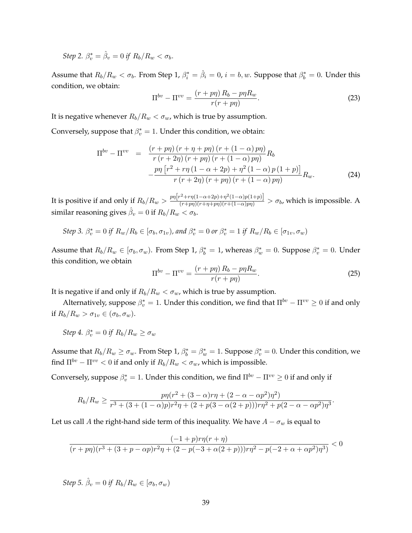Step 2. 
$$
\beta_v^* = \hat{\beta}_v = 0
$$
 if  $R_b/R_w < \sigma_b$ .

Assume that  $R_b/R_w < \sigma_b$ . From Step 1,  $\beta_i^* = \hat{\beta}_i = 0$ ,  $i = b, w$ . Suppose that  $\beta_b^* = 0$ . Under this condition, we obtain:

$$
\Pi^{bv} - \Pi^{vv} = \frac{(r+p\eta)R_b - p\eta R_w}{r(r+p\eta)}.
$$
\n(23)

It is negative whenever  $R_b/R_w < \sigma_w$ , which is true by assumption.

Conversely, suppose that  $\beta_v^* = 1$ . Under this condition, we obtain:

$$
\Pi^{bv} - \Pi^{vv} = \frac{\left(r + p\eta\right)\left(r + \eta + p\eta\right)\left(r + \left(1 - \alpha\right)p\eta\right)}{r\left(r + 2\eta\right)\left(r + p\eta\right)\left(r + \left(1 - \alpha\right)p\eta\right)}R_b
$$
\n
$$
-\frac{p\eta\left[r^2 + r\eta\left(1 - \alpha + 2p\right) + \eta^2\left(1 - \alpha\right)p\left(1 + p\right)\right]}{r\left(r + 2\eta\right)\left(r + p\eta\right)\left(r + \left(1 - \alpha\right)p\eta\right)}R_w. \tag{24}
$$

It is positive if and only if  $R_b/R_w > \frac{p\eta\left[r^2 + r\eta(1-\alpha+2p) + \eta^2(1-\alpha)p(1+p)\right]}{(r+p\eta)(r+\eta+p\eta)(r+(1-\alpha)p\eta)} > \sigma_b$ , which is impossible. A similar reasoning gives  $\hat{\beta}_v=0$  if  $R_b/R_w<\sigma_b.$ 

Step 3. 
$$
\beta_v^* = 0
$$
 if  $R_w/R_b \in [\sigma_b, \sigma_{1v})$ , and  $\beta_v^* = 0$  or  $\beta_v^* = 1$  if  $R_w/R_b \in [\sigma_{1v}, \sigma_w)$ 

Assume that  $R_b/R_w \in [\sigma_b, \sigma_w)$ . From Step 1,  $\beta_b^* = 1$ , whereas  $\beta_w^* = 0$ . Suppose  $\beta_v^* = 0$ . Under this condition, we obtain

$$
\Pi^{bv} - \Pi^{vv} = \frac{(r+p\eta)R_b - p\eta R_w}{r(r+p\eta)}.
$$
\n(25)

It is negative if and only if  $R_b/R_w < \sigma_w$ , which is true by assumption.

Alternatively, suppose  $\beta_v^*=1$ . Under this condition, we find that  $\Pi^{bv}-\Pi^{vv}\geq 0$  if and only if  $R_b/R_w > \sigma_{1v} \in (\sigma_b, \sigma_w)$ .

Step 4. 
$$
\beta_v^* = 0
$$
 if  $R_b/R_w \ge \sigma_w$ 

Assume that  $R_b/R_w \ge \sigma_w$ . From Step 1,  $\beta_b^* = \beta_w^* = 1$ . Suppose  $\beta_v^* = 0$ . Under this condition, we find  $\Pi^{bv} - \Pi^{vv} < 0$  if and only if  $R_b/R_w < \sigma_w$ , which is impossible.

Conversely, suppose  $\beta^*_v = 1$ . Under this condition, we find  $\Pi^{bv} - \Pi^{vv} \geq 0$  if and only if

$$
R_b/R_w \ge \frac{p\eta(r^2 + (3 - \alpha)r\eta + (2 - \alpha - \alpha p^2)\eta^2)}{r^3 + (3 + (1 - \alpha)p)r^2\eta + (2 + p(3 - \alpha(2 + p)))r\eta^2 + p(2 - \alpha - \alpha p^2)\eta^3}.
$$

Let us call A the right-hand side term of this inequality. We have  $A - \sigma_w$  is equal to

$$
\frac{(-1+p) r \eta(r+\eta)}{(r+p\eta)(r^3+(3+p-\alpha p) r^2 \eta+(2-p(-3+\alpha(2+p))) r \eta^2-p(-2+\alpha+\alpha p^2) \eta^3)} < 0
$$

*Step 5.*  $\hat{\beta}_v = 0$  *if*  $R_b/R_w \in [\sigma_b, \sigma_w)$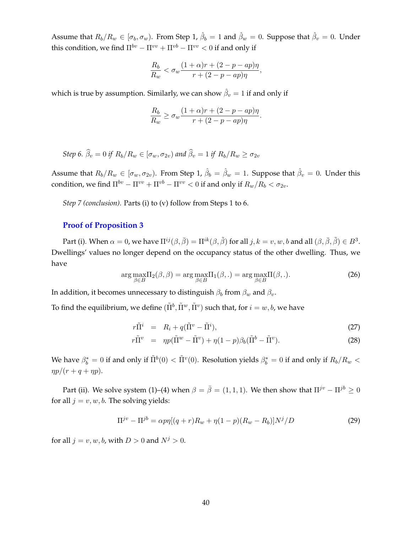Assume that  $R_b/R_w \in [\sigma_b, \sigma_w)$ . From Step 1,  $\hat{\beta}_b=1$  and  $\hat{\beta}_w=0$ . Suppose that  $\hat{\beta}_v=0$ . Under this condition, we find  $\Pi^{bv} - \Pi^{vv} + \Pi^{vb} - \Pi^{vv} < 0$  if and only if

$$
\frac{R_b}{R_w} < \sigma_w \frac{(1+\alpha)r + (2-p - ap)\eta}{r + (2-p - ap)\eta},
$$

which is true by assumption. Similarly, we can show  $\hat{\beta}_v = 1$  if and only if

$$
\frac{R_b}{R_w} \ge \sigma_w \frac{(1+\alpha)r + (2-p - ap)\eta}{r + (2-p - ap)\eta}.
$$

Step 6. 
$$
\widehat{\beta}_v = 0
$$
 if  $R_b/R_w \in [\sigma_w, \sigma_{2v})$  and  $\widehat{\beta}_v = 1$  if  $R_b/R_w \ge \sigma_{2v}$ 

Assume that  $R_b/R_w \in [\sigma_w,\sigma_{2v})$ . From Step 1,  $\hat{\beta}_b = \hat{\beta}_w = 1$ . Suppose that  $\hat{\beta}_v = 0$ . Under this condition, we find  $\Pi^{bv} - \Pi^{vv} + \Pi^{vb} - \Pi^{vv} < 0$  if and only if  $R_w/R_b < \sigma_{2v}$ .

*Step 7 (conclusion).* Parts (i) to (v) follow from Steps 1 to 6.

#### **Proof of Proposition 3**

Part (i). When  $\alpha = 0$ , we have  $\Pi^{ij}(\beta, \bar{\beta}) = \Pi^{ik}(\beta, \tilde{\beta})$  for all  $j, k = v, w, b$  and all  $(\beta, \bar{\beta}, \tilde{\beta}) \in B^3$ . Dwellings' values no longer depend on the occupancy status of the other dwelling. Thus, we have

$$
\arg \max_{\beta \in B} \Pi_2(\beta, \beta) = \arg \max_{\beta \in B} \Pi_1(\beta, .) = \arg \max_{\beta \in B} \Pi(\beta, .). \tag{26}
$$

In addition, it becomes unnecessary to distinguish  $\beta_b$  from  $\beta_w$  and  $\beta_v$ .

To find the equilibrium, we define  $(\tilde{\Pi}^b, \tilde{\Pi}^w, \tilde{\Pi}^v)$  such that, for  $i=w,b$ , we have

$$
r\tilde{\Pi}^i = R_i + q(\tilde{\Pi}^v - \tilde{\Pi}^i), \tag{27}
$$

$$
r\tilde{\Pi}^v = \eta p(\tilde{\Pi}^w - \tilde{\Pi}^v) + \eta (1 - p)\beta_b (\tilde{\Pi}^b - \tilde{\Pi}^v). \tag{28}
$$

We have  $\beta_b^*=0$  if and only if  $\tilde\Pi^b(0)<\tilde\Pi^v(0).$  Resolution yields  $\beta_b^*=0$  if and only if  $R_b/R_w<$  $\eta p/(r + q + \eta p).$ 

Part (ii). We solve system (1)–(4) when  $\beta = \bar{\beta} = (1, 1, 1)$ . We then show that  $\Pi^{jv} - \Pi^{jb} \ge 0$ for all  $j = v, w, b$ . The solving yields:

$$
\Pi^{j\upsilon} - \Pi^{j b} = \alpha p \eta [(q+r)R_w + \eta (1-p)(R_w - R_b)]N^j/D \tag{29}
$$

for all  $j = v, w, b$ , with  $D > 0$  and  $N^j > 0$ .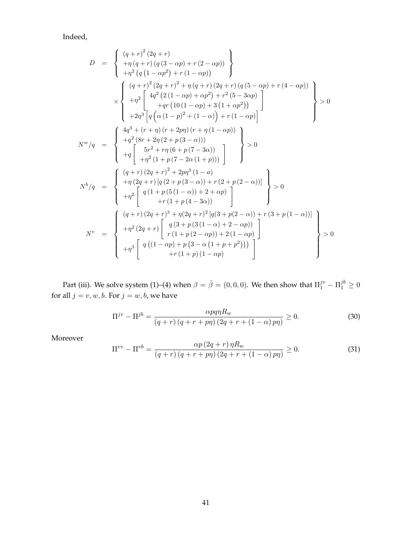Indeed,

$$
D = \begin{cases} (q+r)^{2}(2q+r) \\ +\eta(q+r)(q(3-\alpha p)+r(2-\alpha p)) \\ +\eta^{2}(q(1-\alpha p^{2})+r(1-\alpha p)) \end{cases}
$$
  
\n
$$
\times \begin{cases} (q+r)^{2}(2q+r)^{2} + \eta(q+r)(2q+r)(q(5-\alpha p)+r(4-\alpha p)) \\ +q^{2}(4q^{2}(2(1-\alpha p)+\alpha p^{2})+r^{2}(5-3\alpha p) \\ +q^{2}(1-(1-\alpha p)+3(1+\alpha p^{2})) \end{cases} > 0
$$
  
\n
$$
\times \begin{cases} (q+r)^{2}(2q+r)^{2} + \eta(q+r)(2q+r)(q(5-\alpha p)+r(4-\alpha p)) \\ +q^{2}(4q^{2}(2(1-\alpha p)+3(1+\alpha p^{2})) \\ +2\eta^{3}[q(\alpha(1-p)^{2}+(1-\alpha))]+r(1-\alpha p)] \end{cases} > 0
$$
  
\n
$$
N^{w}/q = \begin{cases} 4q^{3} + (r+\eta)(r+2p\eta)(r+\eta(1-\alpha p)) \\ +q^{2}(8r+2\eta(2+p(3-\alpha))) \\ +q^{2}(1+p(7-2\alpha(1+p))) \\ +r^{2}(1+p(7-2\alpha(1+p))) \end{cases} > 0
$$
  
\n
$$
N^{b}/q = \begin{cases} (q+r)(2q+r)^{2} + 2p\eta^{3}(1-\alpha) \\ +r(2q+r)[q(2+p(3-\alpha))+r(2+p(2-\alpha))] \\ +r(2q+r)^{3} + \eta(2q+r)^{2}[q(3+p(2-\alpha))+r(3+p(1-\alpha))] \\ +r(1+p(2-\alpha p))+2(1-\alpha p) \\ +r(1+p(2-\alpha p))+2(1-\alpha p) \end{cases} > 0
$$
  
\n
$$
N^{v} = \begin{cases} (q+r)(2q+r)^{3} + \eta(2q+r)^{2}(q(3+p(2-\alpha)) + r(3+p(1-\alpha)) \\ +r(1+p(2-\alpha p))+2(1-\alpha p) \\ +r(1+p)(1-\alpha p) \end{cases} > 0
$$

Part (iii). We solve system (1)–(4) when  $\beta=\bar{\beta}=(0,0,0).$  We then show that  $\Pi_1^{jv}-\Pi_1^{jb}\geq 0$ for all  $j = v, w, b$ . For  $j = w, b$ , we have

$$
\Pi^{jv} - \Pi^{jb} = \frac{\alpha pq\eta R_w}{\left(q+r\right)\left(q+r+ p\eta\right)\left(2q+r+\left(1-\alpha\right)p\eta\right)} \ge 0. \tag{30}
$$

Moreover

$$
\Pi^{vv} - \Pi^{vb} = \frac{\alpha p \left(2q+r\right) \eta R_w}{\left(q+r\right) \left(q+r+p\eta\right) \left(2q+r+\left(1-\alpha\right) p\eta\right)} \ge 0. \tag{31}
$$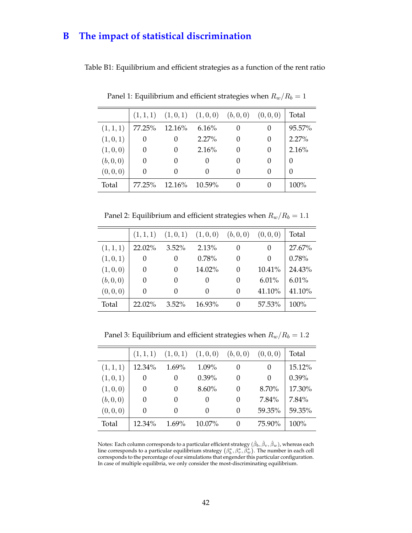# **B The impact of statistical discrimination**

Table B1: Equilibrium and efficient strategies as a function of the rent ratio

|          |           |           |          |                  | Total                                             |
|----------|-----------|-----------|----------|------------------|---------------------------------------------------|
| 77.25%   |           | 6.16%     | $\theta$ | $\Omega$         | 95.57%                                            |
| 0        |           | $2.27\%$  | $\Omega$ | $\Omega$         | 2.27%                                             |
| 0        |           | 2.16%     | 0        | $\Omega$         | 2.16%                                             |
| $\Omega$ | $\theta$  |           | $\Omega$ | $\left( \right)$ | $\theta$                                          |
| $\Omega$ | $\Omega$  |           | $\Omega$ | $\theta$         | 0                                                 |
| 77.25%   | $12.16\%$ | $10.59\%$ | $\cup$   |                  | $100\%$                                           |
|          |           | $12.16\%$ |          |                  | $(1,1,1)$ $(1,0,1)$ $(1,0,0)$ $(b,0,0)$ $(0,0,0)$ |

Panel 1: Equilibrium and efficient strategies when  $R_w/R_b = 1$ 

Panel 2: Equilibrium and efficient strategies when  $R_w/R_b = 1.1$ 

|           | (1, 1, 1) | (1,0,1)          | (1,0,0)  | (b, 0, 0) | (0,0,0)  | Total  |
|-----------|-----------|------------------|----------|-----------|----------|--------|
| (1, 1, 1) | 22.02%    | $3.52\%$         | 2.13%    | $\theta$  | $\Omega$ | 27.67% |
| (1,0,1)   | 0         | 0                | 0.78%    | 0         | 0        | 0.78%  |
| (1,0,0)   | $\Omega$  | $\Omega$         | 14.02%   | $\theta$  | 10.41%   | 24.43% |
| (b, 0, 0) | 0         | $\left( \right)$ | $\theta$ | $\theta$  | 6.01%    | 6.01%  |
| (0, 0, 0) | 0         | $\Omega$         | $\Omega$ | 0         | 41.10%   | 41.10% |
| Total     | $22.02\%$ | $3.52\%$         | 16.93%   | 0         | 57.53%   | 100%   |

Panel 3: Equilibrium and efficient strategies when  $R_w/R_b = 1.2$ 

|           | (1, 1, 1) | (1,0,1)          | (1,0,0)   | (b, 0, 0)        | (0,0,0)  | Total    |
|-----------|-----------|------------------|-----------|------------------|----------|----------|
| (1, 1, 1) | 12.34%    | $1.69\%$         | 1.09%     | $\left( \right)$ | $\Omega$ | 15.12%   |
| (1,0,1)   | $^{(1)}$  | $\left( \right)$ | $0.39\%$  | 0                | $\Omega$ | $0.39\%$ |
| (1,0,0)   | $^{(1)}$  | $\theta$         | $8.60\%$  | 0                | 8.70%    | 17.30%   |
| (b, 0, 0) | 0         | $\theta$         | $\Omega$  | 0                | 7.84%    | 7.84%    |
| (0,0,0)   | 0         | $\theta$         | $\Omega$  | 0                | 59.35%   | 59.35%   |
| Total     | $12.34\%$ | $1.69\%$         | $10.07\%$ | $\left( \right)$ | 75.90%   | 100%     |

Notes: Each column corresponds to a particular efficient strategy  $(\hat{\beta}_b,\hat{\beta}_v,\hat{\beta}_w)$ , whereas each line corresponds to a particular equilibrium strategy  $(\beta_b^*,\beta_v^*,\bar{\beta}_w^*)$ . The number in each cell corresponds to the percentage of our simulations that engender this particular configuration. In case of multiple equilibria, we only consider the most-discriminating equilibrium.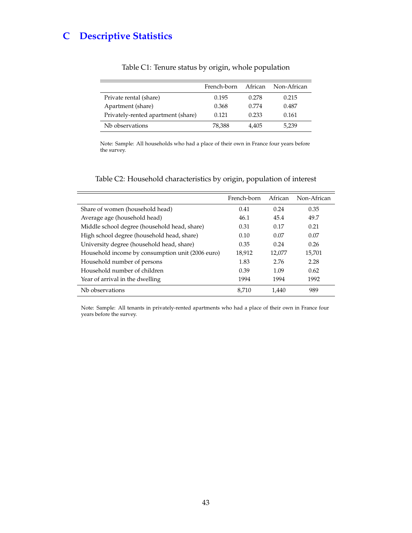# **C Descriptive Statistics**

|                                    | French-born | African | Non-African |
|------------------------------------|-------------|---------|-------------|
| Private rental (share)             | 0.195       | 0.278   | 0.215       |
| Apartment (share)                  | 0.368       | 0.774   | 0.487       |
| Privately-rented apartment (share) | 0.121       | 0.233   | 0.161       |
| Nb observations                    | 78,388      | 4.405   | 5,239       |

### Table C1: Tenure status by origin, whole population

Note: Sample: All households who had a place of their own in France four years before the survey.

### Table C2: Household characteristics by origin, population of interest

|                                                  | French-born | African | Non-African |
|--------------------------------------------------|-------------|---------|-------------|
| Share of women (household head)                  | 0.41        | 0.24    | 0.35        |
| Average age (household head)                     | 46.1        | 45.4    | 49.7        |
| Middle school degree (household head, share)     | 0.31        | 0.17    | 0.21        |
| High school degree (household head, share)       | 0.10        | 0.07    | 0.07        |
| University degree (household head, share)        | 0.35        | 0.24    | 0.26        |
| Household income by consumption unit (2006 euro) | 18,912      | 12,077  | 15,701      |
| Household number of persons                      | 1.83        | 2.76    | 2.28        |
| Household number of children                     | 0.39        | 1.09    | 0.62        |
| Year of arrival in the dwelling                  | 1994        | 1994    | 1992        |
| Nb observations                                  | 8.710       | 1.440   | 989         |

Note: Sample: All tenants in privately-rented apartments who had a place of their own in France four years before the survey.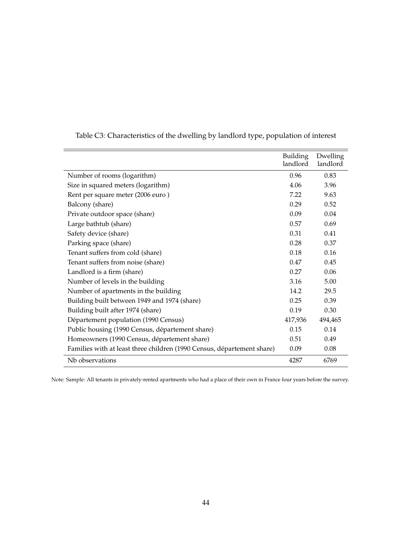|                                                                        | <b>Building</b><br>landlord | Dwelling<br>landlord |
|------------------------------------------------------------------------|-----------------------------|----------------------|
| Number of rooms (logarithm)                                            | 0.96                        | 0.83                 |
| Size in squared meters (logarithm)                                     | 4.06                        | 3.96                 |
| Rent per square meter (2006 euro)                                      | 7.22                        | 9.63                 |
| Balcony (share)                                                        | 0.29                        | 0.52                 |
| Private outdoor space (share)                                          | 0.09                        | 0.04                 |
| Large bathtub (share)                                                  | 0.57                        | 0.69                 |
| Safety device (share)                                                  | 0.31                        | 0.41                 |
| Parking space (share)                                                  | 0.28                        | 0.37                 |
| Tenant suffers from cold (share)                                       | 0.18                        | 0.16                 |
| Tenant suffers from noise (share)                                      | 0.47                        | 0.45                 |
| Landlord is a firm (share)                                             | 0.27                        | 0.06                 |
| Number of levels in the building                                       | 3.16                        | 5.00                 |
| Number of apartments in the building                                   | 14.2                        | 29.5                 |
| Building built between 1949 and 1974 (share)                           | 0.25                        | 0.39                 |
| Building built after 1974 (share)                                      | 0.19                        | 0.30                 |
| Département population (1990 Census)                                   | 417,936                     | 494,465              |
| Public housing (1990 Census, département share)                        | 0.15                        | 0.14                 |
| Homeowners (1990 Census, département share)                            | 0.51                        | 0.49                 |
| Families with at least three children (1990 Census, département share) | 0.09                        | 0.08                 |
| Nb observations                                                        | 4287                        | 6769                 |

Table C3: Characteristics of the dwelling by landlord type, population of interest

Note: Sample: All tenants in privately-rented apartments who had a place of their own in France four years before the survey.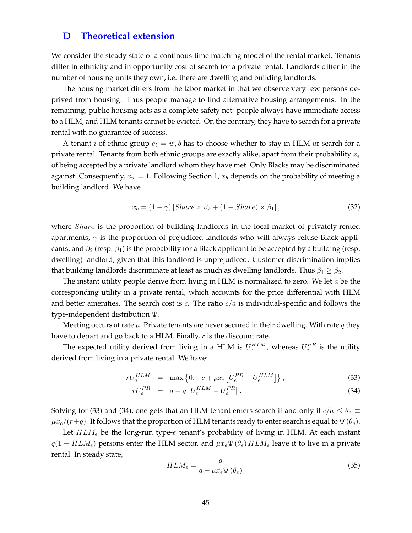### **D Theoretical extension**

We consider the steady state of a continous-time matching model of the rental market. Tenants differ in ethnicity and in opportunity cost of search for a private rental. Landlords differ in the number of housing units they own, i.e. there are dwelling and building landlords.

The housing market differs from the labor market in that we observe very few persons deprived from housing. Thus people manage to find alternative housing arrangements. In the remaining, public housing acts as a complete safety net: people always have immediate access to a HLM, and HLM tenants cannot be evicted. On the contrary, they have to search for a private rental with no guarantee of success.

A tenant *i* of ethnic group  $e_i = w, b$  has to choose whether to stay in HLM or search for a private rental. Tenants from both ethnic groups are exactly alike, apart from their probability  $x_e$ of being accepted by a private landlord whom they have met. Only Blacks may be discriminated against. Consequently,  $x_w = 1$ . Following Section 1,  $x_b$  depends on the probability of meeting a building landlord. We have

$$
x_b = (1 - \gamma) \left[Share \times \beta_2 + (1 - share) \times \beta_1 \right],\tag{32}
$$

where *Share* is the proportion of building landlords in the local market of privately-rented apartments,  $\gamma$  is the proportion of prejudiced landlords who will always refuse Black applicants, and  $\beta_2$  (resp.  $\beta_1$ ) is the probability for a Black applicant to be accepted by a building (resp. dwelling) landlord, given that this landlord is unprejudiced. Customer discrimination implies that building landlords discriminate at least as much as dwelling landlords. Thus  $\beta_1 \geq \beta_2$ .

The instant utility people derive from living in HLM is normalized to zero. We let  $a$  be the corresponding utility in a private rental, which accounts for the price differential with HLM and better amenities. The search cost is c. The ratio  $c/a$  is individual-specific and follows the type-independent distribution Ψ.

Meeting occurs at rate  $\mu$ . Private tenants are never secured in their dwelling. With rate q they have to depart and go back to a HLM. Finally, r is the discount rate.

The expected utility derived from living in a HLM is  $U_e^{HLM}$ , whereas  $U_e^{PR}$  is the utility derived from living in a private rental. We have:

$$
rU_e^{HLM} = \max\left\{0, -c + \mu x_i \left[U_e^{PR} - U_e^{HLM}\right]\right\},\tag{33}
$$

$$
rU_e^{PR} = a + q \left[ U_e^{HLM} - U_e^{PR} \right]. \tag{34}
$$

Solving for (33) and (34), one gets that an HLM tenant enters search if and only if  $c/a \leq \theta_e \equiv$  $\mu x_e/(r+q)$ . It follows that the proportion of HLM tenants ready to enter search is equal to  $\Psi(\theta_e)$ .

Let  $HLM_e$  be the long-run type- $e$  tenant's probability of living in HLM. At each instant  $q(1 - HLM_e)$  persons enter the HLM sector, and  $\mu x_e \Psi(\theta_e) HLM_e$  leave it to live in a private rental. In steady state,

$$
HLM_e = \frac{q}{q + \mu x_e \Psi(\theta_e)}.
$$
\n(35)